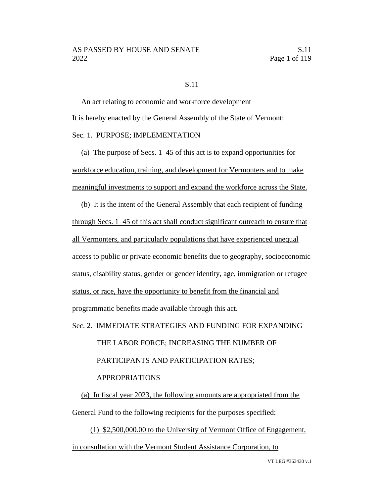#### S.11

An act relating to economic and workforce development It is hereby enacted by the General Assembly of the State of Vermont: Sec. 1. PURPOSE; IMPLEMENTATION

(a) The purpose of Secs. 1–45 of this act is to expand opportunities for workforce education, training, and development for Vermonters and to make meaningful investments to support and expand the workforce across the State.

(b) It is the intent of the General Assembly that each recipient of funding through Secs. 1–45 of this act shall conduct significant outreach to ensure that all Vermonters, and particularly populations that have experienced unequal access to public or private economic benefits due to geography, socioeconomic status, disability status, gender or gender identity, age, immigration or refugee status, or race, have the opportunity to benefit from the financial and programmatic benefits made available through this act.

# Sec. 2. IMMEDIATE STRATEGIES AND FUNDING FOR EXPANDING THE LABOR FORCE; INCREASING THE NUMBER OF PARTICIPANTS AND PARTICIPATION RATES; APPROPRIATIONS

(a) In fiscal year 2023, the following amounts are appropriated from the General Fund to the following recipients for the purposes specified:

(1) \$2,500,000.00 to the University of Vermont Office of Engagement, in consultation with the Vermont Student Assistance Corporation, to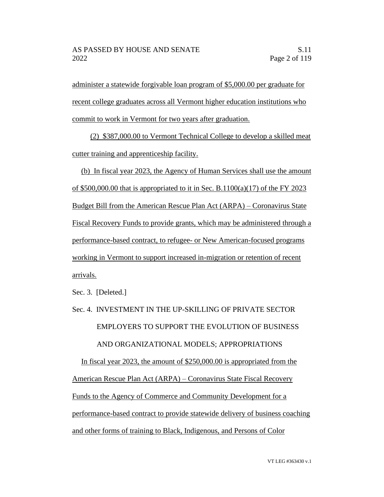administer a statewide forgivable loan program of \$5,000.00 per graduate for recent college graduates across all Vermont higher education institutions who commit to work in Vermont for two years after graduation.

(2) \$387,000.00 to Vermont Technical College to develop a skilled meat cutter training and apprenticeship facility.

(b) In fiscal year 2023, the Agency of Human Services shall use the amount of \$500,000.00 that is appropriated to it in Sec. B.1100(a)(17) of the FY 2023 Budget Bill from the American Rescue Plan Act (ARPA) – Coronavirus State Fiscal Recovery Funds to provide grants, which may be administered through a performance-based contract, to refugee- or New American-focused programs working in Vermont to support increased in-migration or retention of recent arrivals.

Sec. 3. [Deleted.]

# Sec. 4. INVESTMENT IN THE UP-SKILLING OF PRIVATE SECTOR EMPLOYERS TO SUPPORT THE EVOLUTION OF BUSINESS AND ORGANIZATIONAL MODELS; APPROPRIATIONS In fiscal year 2023, the amount of \$250,000.00 is appropriated from the

American Rescue Plan Act (ARPA) – Coronavirus State Fiscal Recovery Funds to the Agency of Commerce and Community Development for a performance-based contract to provide statewide delivery of business coaching and other forms of training to Black, Indigenous, and Persons of Color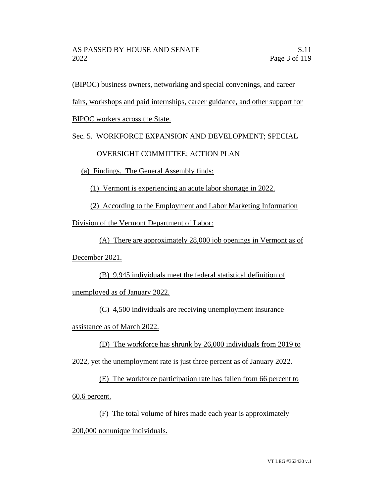(BIPOC) business owners, networking and special convenings, and career

fairs, workshops and paid internships, career guidance, and other support for

BIPOC workers across the State.

Sec. 5. WORKFORCE EXPANSION AND DEVELOPMENT; SPECIAL

## OVERSIGHT COMMITTEE; ACTION PLAN

(a) Findings. The General Assembly finds:

(1) Vermont is experiencing an acute labor shortage in 2022.

(2) According to the Employment and Labor Marketing Information

Division of the Vermont Department of Labor:

(A) There are approximately 28,000 job openings in Vermont as of

December 2021.

(B) 9,945 individuals meet the federal statistical definition of

unemployed as of January 2022.

(C) 4,500 individuals are receiving unemployment insurance

assistance as of March 2022.

(D) The workforce has shrunk by 26,000 individuals from 2019 to 2022, yet the unemployment rate is just three percent as of January 2022.

(E) The workforce participation rate has fallen from 66 percent to 60.6 percent.

(F) The total volume of hires made each year is approximately 200,000 nonunique individuals.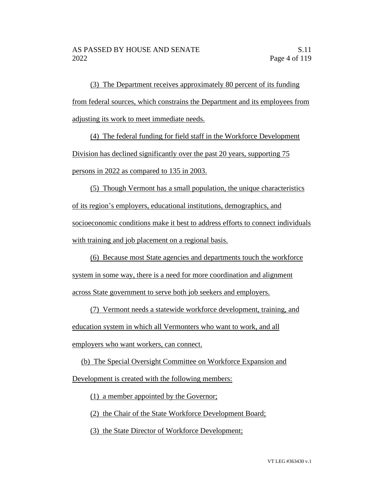(3) The Department receives approximately 80 percent of its funding from federal sources, which constrains the Department and its employees from adjusting its work to meet immediate needs.

(4) The federal funding for field staff in the Workforce Development Division has declined significantly over the past 20 years, supporting 75 persons in 2022 as compared to 135 in 2003.

(5) Though Vermont has a small population, the unique characteristics of its region's employers, educational institutions, demographics, and socioeconomic conditions make it best to address efforts to connect individuals with training and job placement on a regional basis.

(6) Because most State agencies and departments touch the workforce system in some way, there is a need for more coordination and alignment across State government to serve both job seekers and employers.

(7) Vermont needs a statewide workforce development, training, and education system in which all Vermonters who want to work, and all employers who want workers, can connect.

(b) The Special Oversight Committee on Workforce Expansion and Development is created with the following members:

(1) a member appointed by the Governor;

(2) the Chair of the State Workforce Development Board;

(3) the State Director of Workforce Development;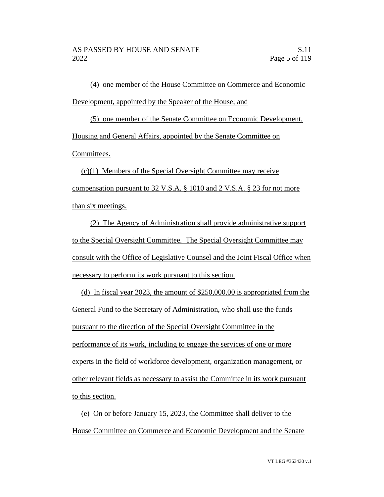(4) one member of the House Committee on Commerce and Economic Development, appointed by the Speaker of the House; and

(5) one member of the Senate Committee on Economic Development, Housing and General Affairs, appointed by the Senate Committee on Committees.

(c)(1) Members of the Special Oversight Committee may receive compensation pursuant to 32 V.S.A. § 1010 and 2 V.S.A. § 23 for not more than six meetings.

(2) The Agency of Administration shall provide administrative support to the Special Oversight Committee. The Special Oversight Committee may consult with the Office of Legislative Counsel and the Joint Fiscal Office when necessary to perform its work pursuant to this section.

(d) In fiscal year 2023, the amount of \$250,000.00 is appropriated from the General Fund to the Secretary of Administration, who shall use the funds pursuant to the direction of the Special Oversight Committee in the performance of its work, including to engage the services of one or more experts in the field of workforce development, organization management, or other relevant fields as necessary to assist the Committee in its work pursuant to this section.

(e) On or before January 15, 2023, the Committee shall deliver to the House Committee on Commerce and Economic Development and the Senate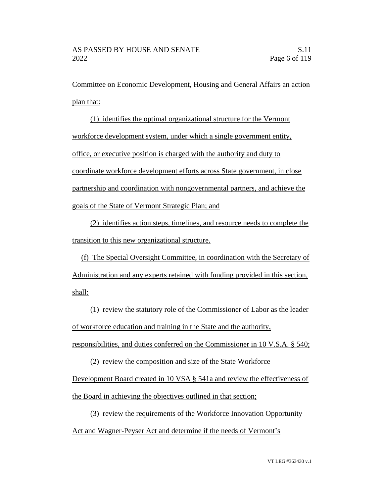Committee on Economic Development, Housing and General Affairs an action plan that:

(1) identifies the optimal organizational structure for the Vermont workforce development system, under which a single government entity, office, or executive position is charged with the authority and duty to coordinate workforce development efforts across State government, in close partnership and coordination with nongovernmental partners, and achieve the goals of the State of Vermont Strategic Plan; and

(2) identifies action steps, timelines, and resource needs to complete the transition to this new organizational structure.

(f) The Special Oversight Committee, in coordination with the Secretary of Administration and any experts retained with funding provided in this section, shall:

(1) review the statutory role of the Commissioner of Labor as the leader of workforce education and training in the State and the authority, responsibilities, and duties conferred on the Commissioner in 10 V.S.A. § 540;

(2) review the composition and size of the State Workforce Development Board created in 10 VSA § 541a and review the effectiveness of the Board in achieving the objectives outlined in that section;

(3) review the requirements of the Workforce Innovation Opportunity Act and Wagner-Peyser Act and determine if the needs of Vermont's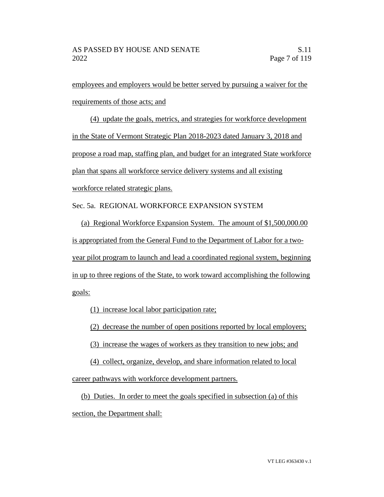employees and employers would be better served by pursuing a waiver for the requirements of those acts; and

(4) update the goals, metrics, and strategies for workforce development in the State of Vermont Strategic Plan 2018-2023 dated January 3, 2018 and propose a road map, staffing plan, and budget for an integrated State workforce plan that spans all workforce service delivery systems and all existing workforce related strategic plans.

Sec. 5a. REGIONAL WORKFORCE EXPANSION SYSTEM

(a) Regional Workforce Expansion System. The amount of \$1,500,000.00 is appropriated from the General Fund to the Department of Labor for a twoyear pilot program to launch and lead a coordinated regional system, beginning in up to three regions of the State, to work toward accomplishing the following goals:

(1) increase local labor participation rate;

(2) decrease the number of open positions reported by local employers;

(3) increase the wages of workers as they transition to new jobs; and

(4) collect, organize, develop, and share information related to local career pathways with workforce development partners.

(b) Duties. In order to meet the goals specified in subsection (a) of this section, the Department shall: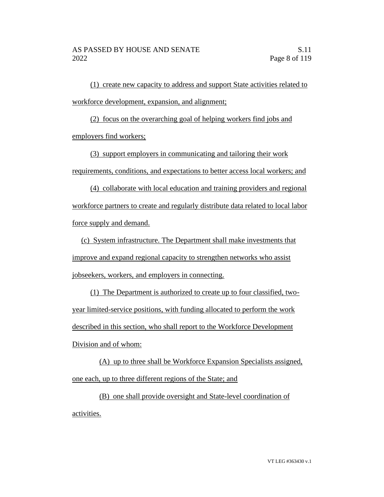(1) create new capacity to address and support State activities related to workforce development, expansion, and alignment;

(2) focus on the overarching goal of helping workers find jobs and employers find workers;

(3) support employers in communicating and tailoring their work requirements, conditions, and expectations to better access local workers; and

(4) collaborate with local education and training providers and regional workforce partners to create and regularly distribute data related to local labor force supply and demand.

(c) System infrastructure. The Department shall make investments that improve and expand regional capacity to strengthen networks who assist jobseekers, workers, and employers in connecting.

(1) The Department is authorized to create up to four classified, twoyear limited-service positions, with funding allocated to perform the work described in this section, who shall report to the Workforce Development Division and of whom:

(A) up to three shall be Workforce Expansion Specialists assigned, one each, up to three different regions of the State; and

(B) one shall provide oversight and State-level coordination of activities.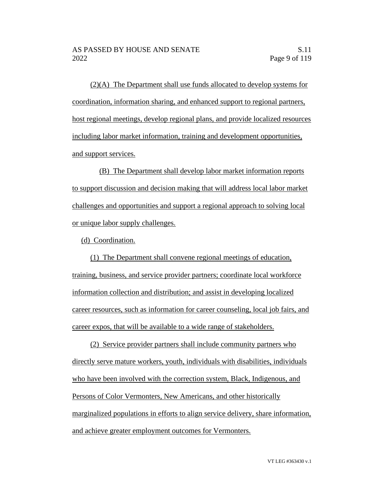(2)(A) The Department shall use funds allocated to develop systems for coordination, information sharing, and enhanced support to regional partners, host regional meetings, develop regional plans, and provide localized resources including labor market information, training and development opportunities, and support services.

(B) The Department shall develop labor market information reports to support discussion and decision making that will address local labor market challenges and opportunities and support a regional approach to solving local or unique labor supply challenges.

(d) Coordination.

(1) The Department shall convene regional meetings of education, training, business, and service provider partners; coordinate local workforce information collection and distribution; and assist in developing localized career resources, such as information for career counseling, local job fairs, and career expos, that will be available to a wide range of stakeholders.

(2) Service provider partners shall include community partners who directly serve mature workers, youth, individuals with disabilities, individuals who have been involved with the correction system, Black, Indigenous, and Persons of Color Vermonters, New Americans, and other historically marginalized populations in efforts to align service delivery, share information, and achieve greater employment outcomes for Vermonters.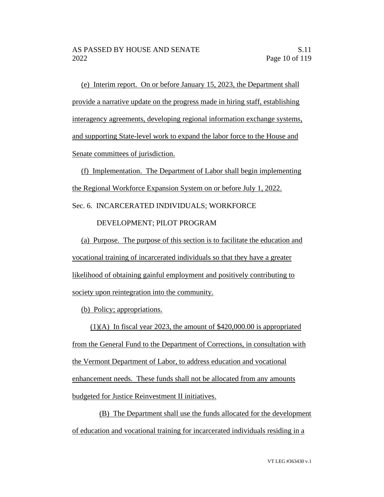(e) Interim report. On or before January 15, 2023, the Department shall provide a narrative update on the progress made in hiring staff, establishing interagency agreements, developing regional information exchange systems, and supporting State-level work to expand the labor force to the House and Senate committees of jurisdiction.

(f) Implementation. The Department of Labor shall begin implementing the Regional Workforce Expansion System on or before July 1, 2022.

Sec. 6. INCARCERATED INDIVIDUALS; WORKFORCE

DEVELOPMENT; PILOT PROGRAM

(a) Purpose. The purpose of this section is to facilitate the education and vocational training of incarcerated individuals so that they have a greater likelihood of obtaining gainful employment and positively contributing to society upon reintegration into the community.

(b) Policy; appropriations.

(1)(A) In fiscal year 2023, the amount of \$420,000.00 is appropriated from the General Fund to the Department of Corrections, in consultation with the Vermont Department of Labor, to address education and vocational enhancement needs. These funds shall not be allocated from any amounts budgeted for Justice Reinvestment II initiatives.

(B) The Department shall use the funds allocated for the development of education and vocational training for incarcerated individuals residing in a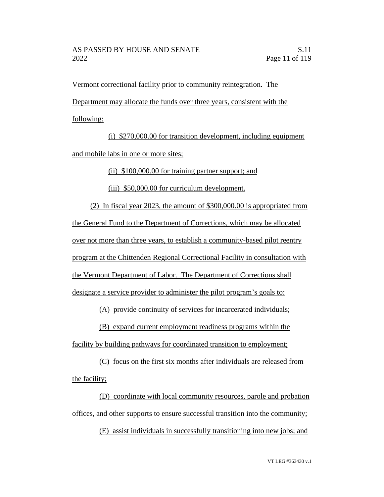Vermont correctional facility prior to community reintegration. The Department may allocate the funds over three years, consistent with the following:

(i) \$270,000.00 for transition development, including equipment and mobile labs in one or more sites;

(ii) \$100,000.00 for training partner support; and

(iii) \$50,000.00 for curriculum development.

(2) In fiscal year 2023, the amount of \$300,000.00 is appropriated from the General Fund to the Department of Corrections, which may be allocated over not more than three years, to establish a community-based pilot reentry program at the Chittenden Regional Correctional Facility in consultation with the Vermont Department of Labor. The Department of Corrections shall designate a service provider to administer the pilot program's goals to:

(A) provide continuity of services for incarcerated individuals;

(B) expand current employment readiness programs within the

facility by building pathways for coordinated transition to employment;

(C) focus on the first six months after individuals are released from the facility;

(D) coordinate with local community resources, parole and probation offices, and other supports to ensure successful transition into the community;

(E) assist individuals in successfully transitioning into new jobs; and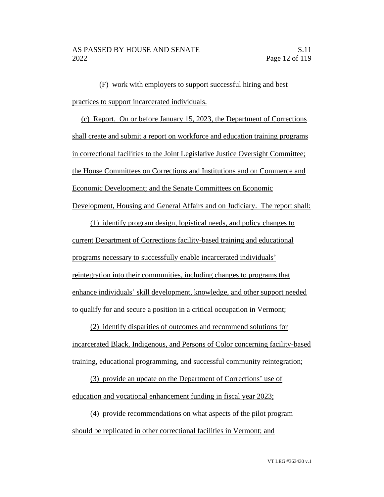(F) work with employers to support successful hiring and best practices to support incarcerated individuals.

(c) Report. On or before January 15, 2023, the Department of Corrections shall create and submit a report on workforce and education training programs in correctional facilities to the Joint Legislative Justice Oversight Committee; the House Committees on Corrections and Institutions and on Commerce and Economic Development; and the Senate Committees on Economic Development, Housing and General Affairs and on Judiciary. The report shall:

(1) identify program design, logistical needs, and policy changes to current Department of Corrections facility-based training and educational programs necessary to successfully enable incarcerated individuals' reintegration into their communities, including changes to programs that enhance individuals' skill development, knowledge, and other support needed to qualify for and secure a position in a critical occupation in Vermont;

(2) identify disparities of outcomes and recommend solutions for incarcerated Black, Indigenous, and Persons of Color concerning facility-based training, educational programming, and successful community reintegration;

(3) provide an update on the Department of Corrections' use of education and vocational enhancement funding in fiscal year 2023;

(4) provide recommendations on what aspects of the pilot program should be replicated in other correctional facilities in Vermont; and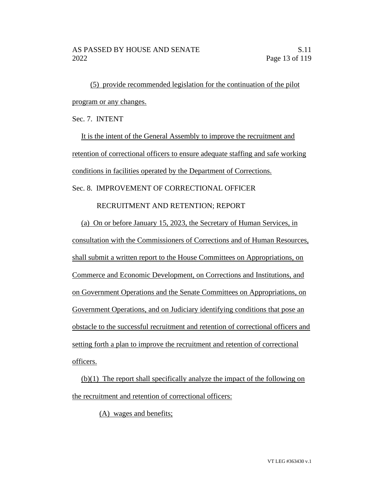(5) provide recommended legislation for the continuation of the pilot program or any changes.

Sec. 7. INTENT

It is the intent of the General Assembly to improve the recruitment and retention of correctional officers to ensure adequate staffing and safe working conditions in facilities operated by the Department of Corrections. Sec. 8. IMPROVEMENT OF CORRECTIONAL OFFICER

RECRUITMENT AND RETENTION; REPORT

(a) On or before January 15, 2023, the Secretary of Human Services, in consultation with the Commissioners of Corrections and of Human Resources, shall submit a written report to the House Committees on Appropriations, on Commerce and Economic Development, on Corrections and Institutions, and on Government Operations and the Senate Committees on Appropriations, on Government Operations, and on Judiciary identifying conditions that pose an obstacle to the successful recruitment and retention of correctional officers and setting forth a plan to improve the recruitment and retention of correctional officers.

(b)(1) The report shall specifically analyze the impact of the following on the recruitment and retention of correctional officers:

(A) wages and benefits;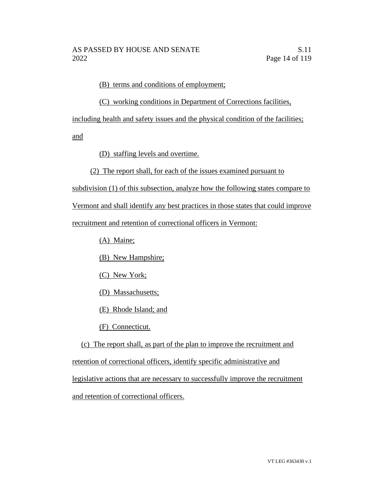(B) terms and conditions of employment;

# (C) working conditions in Department of Corrections facilities,

including health and safety issues and the physical condition of the facilities;

and

(D) staffing levels and overtime.

# (2) The report shall, for each of the issues examined pursuant to

subdivision (1) of this subsection, analyze how the following states compare to

Vermont and shall identify any best practices in those states that could improve

recruitment and retention of correctional officers in Vermont:

(A) Maine;

(B) New Hampshire;

(C) New York;

(D) Massachusetts;

(E) Rhode Island; and

(F) Connecticut.

(c) The report shall, as part of the plan to improve the recruitment and retention of correctional officers, identify specific administrative and legislative actions that are necessary to successfully improve the recruitment and retention of correctional officers.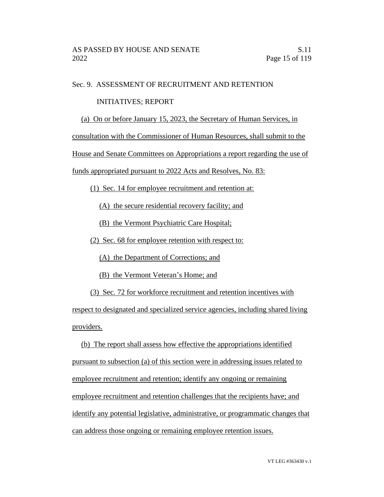## Sec. 9. ASSESSMENT OF RECRUITMENT AND RETENTION

### INITIATIVES; REPORT

(a) On or before January 15, 2023, the Secretary of Human Services, in

consultation with the Commissioner of Human Resources, shall submit to the

House and Senate Committees on Appropriations a report regarding the use of

funds appropriated pursuant to 2022 Acts and Resolves, No. 83:

(1) Sec. 14 for employee recruitment and retention at:

(A) the secure residential recovery facility; and

(B) the Vermont Psychiatric Care Hospital;

(2) Sec. 68 for employee retention with respect to:

(A) the Department of Corrections; and

(B) the Vermont Veteran's Home; and

(3) Sec. 72 for workforce recruitment and retention incentives with

respect to designated and specialized service agencies, including shared living providers.

(b) The report shall assess how effective the appropriations identified pursuant to subsection (a) of this section were in addressing issues related to employee recruitment and retention; identify any ongoing or remaining employee recruitment and retention challenges that the recipients have; and identify any potential legislative, administrative, or programmatic changes that can address those ongoing or remaining employee retention issues.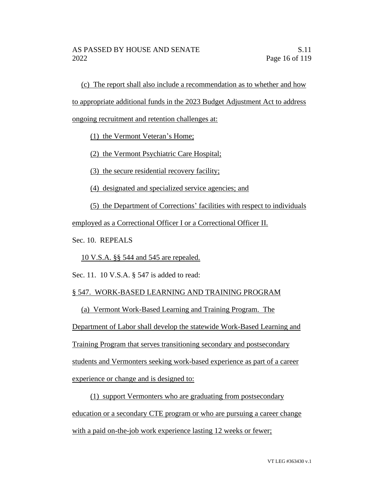(c) The report shall also include a recommendation as to whether and how

to appropriate additional funds in the 2023 Budget Adjustment Act to address

ongoing recruitment and retention challenges at:

(1) the Vermont Veteran's Home;

(2) the Vermont Psychiatric Care Hospital;

(3) the secure residential recovery facility;

(4) designated and specialized service agencies; and

(5) the Department of Corrections' facilities with respect to individuals

employed as a Correctional Officer I or a Correctional Officer II.

Sec. 10. REPEALS

10 V.S.A. §§ 544 and 545 are repealed.

Sec. 11. 10 V.S.A. § 547 is added to read:

# § 547. WORK-BASED LEARNING AND TRAINING PROGRAM

(a) Vermont Work-Based Learning and Training Program. The

Department of Labor shall develop the statewide Work-Based Learning and

Training Program that serves transitioning secondary and postsecondary

students and Vermonters seeking work-based experience as part of a career

experience or change and is designed to:

(1) support Vermonters who are graduating from postsecondary education or a secondary CTE program or who are pursuing a career change with a paid on-the-job work experience lasting 12 weeks or fewer;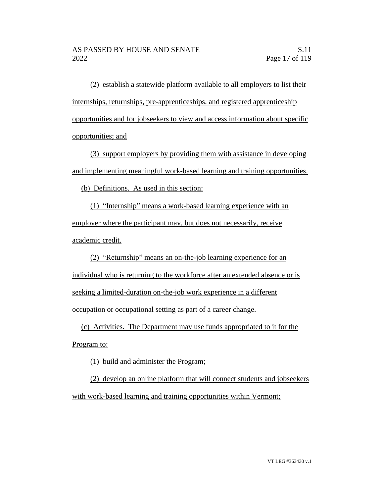(2) establish a statewide platform available to all employers to list their internships, returnships, pre-apprenticeships, and registered apprenticeship opportunities and for jobseekers to view and access information about specific opportunities; and

(3) support employers by providing them with assistance in developing and implementing meaningful work-based learning and training opportunities.

(b) Definitions. As used in this section:

(1) "Internship" means a work-based learning experience with an employer where the participant may, but does not necessarily, receive academic credit.

(2) "Returnship" means an on-the-job learning experience for an individual who is returning to the workforce after an extended absence or is seeking a limited-duration on-the-job work experience in a different occupation or occupational setting as part of a career change.

(c) Activities. The Department may use funds appropriated to it for the

Program to:

(1) build and administer the Program;

(2) develop an online platform that will connect students and jobseekers with work-based learning and training opportunities within Vermont;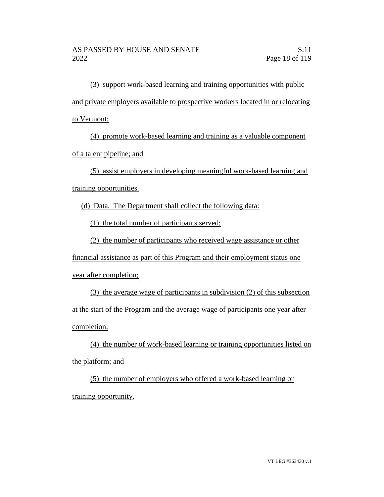(3) support work-based learning and training opportunities with public and private employers available to prospective workers located in or relocating to Vermont;

(4) promote work-based learning and training as a valuable component of a talent pipeline; and

(5) assist employers in developing meaningful work-based learning and training opportunities.

(d) Data. The Department shall collect the following data:

(1) the total number of participants served;

(2) the number of participants who received wage assistance or other

financial assistance as part of this Program and their employment status one year after completion;

(3) the average wage of participants in subdivision (2) of this subsection at the start of the Program and the average wage of participants one year after completion;

(4) the number of work-based learning or training opportunities listed on the platform; and

(5) the number of employers who offered a work-based learning or training opportunity.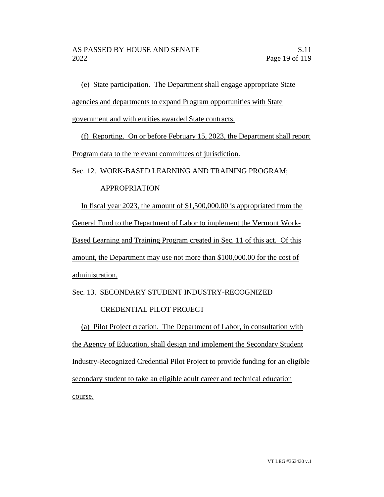(e) State participation. The Department shall engage appropriate State

agencies and departments to expand Program opportunities with State

government and with entities awarded State contracts.

(f) Reporting. On or before February 15, 2023, the Department shall report Program data to the relevant committees of jurisdiction.

Sec. 12. WORK-BASED LEARNING AND TRAINING PROGRAM;

# APPROPRIATION

In fiscal year 2023, the amount of \$1,500,000.00 is appropriated from the General Fund to the Department of Labor to implement the Vermont Work-Based Learning and Training Program created in Sec. 11 of this act. Of this amount, the Department may use not more than \$100,000.00 for the cost of administration.

Sec. 13. SECONDARY STUDENT INDUSTRY-RECOGNIZED

# CREDENTIAL PILOT PROJECT

(a) Pilot Project creation. The Department of Labor, in consultation with the Agency of Education, shall design and implement the Secondary Student Industry-Recognized Credential Pilot Project to provide funding for an eligible secondary student to take an eligible adult career and technical education course.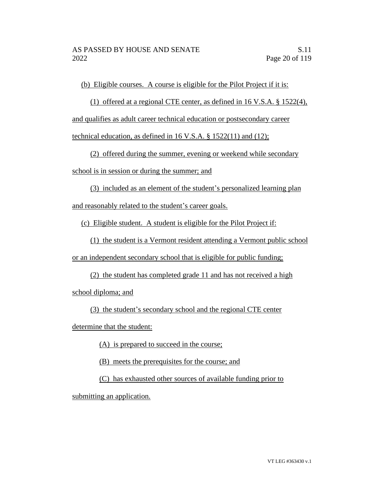(b) Eligible courses. A course is eligible for the Pilot Project if it is:

(1) offered at a regional CTE center, as defined in 16 V.S.A. § 1522(4),

and qualifies as adult career technical education or postsecondary career

technical education, as defined in 16 V.S.A. § 1522(11) and (12);

(2) offered during the summer, evening or weekend while secondary

school is in session or during the summer; and

(3) included as an element of the student's personalized learning plan

and reasonably related to the student's career goals.

(c) Eligible student. A student is eligible for the Pilot Project if:

(1) the student is a Vermont resident attending a Vermont public school

or an independent secondary school that is eligible for public funding;

(2) the student has completed grade 11 and has not received a high school diploma; and

(3) the student's secondary school and the regional CTE center

determine that the student:

(A) is prepared to succeed in the course;

(B) meets the prerequisites for the course; and

(C) has exhausted other sources of available funding prior to

submitting an application.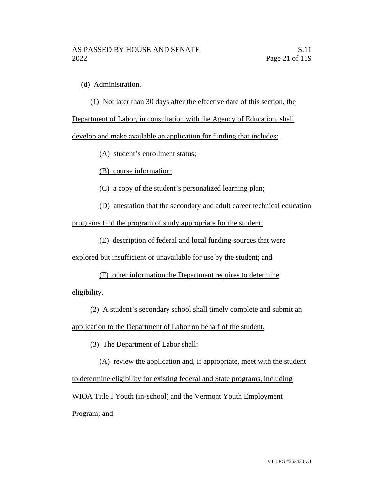(d) Administration.

(1) Not later than 30 days after the effective date of this section, the

Department of Labor, in consultation with the Agency of Education, shall

develop and make available an application for funding that includes:

(A) student's enrollment status;

(B) course information;

(C) a copy of the student's personalized learning plan;

(D) attestation that the secondary and adult career technical education

programs find the program of study appropriate for the student;

(E) description of federal and local funding sources that were

explored but insufficient or unavailable for use by the student; and

(F) other information the Department requires to determine eligibility.

(2) A student's secondary school shall timely complete and submit an application to the Department of Labor on behalf of the student.

(3) The Department of Labor shall:

(A) review the application and, if appropriate, meet with the student to determine eligibility for existing federal and State programs, including WIOA Title I Youth (in-school) and the Vermont Youth Employment Program; and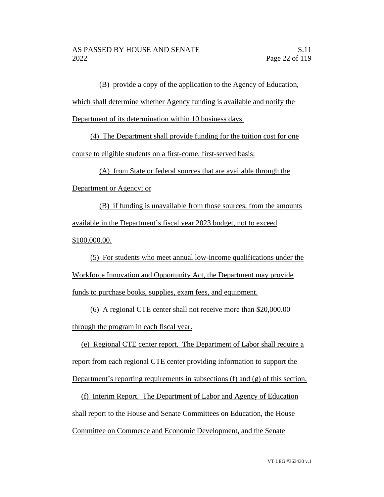(B) provide a copy of the application to the Agency of Education, which shall determine whether Agency funding is available and notify the Department of its determination within 10 business days.

(4) The Department shall provide funding for the tuition cost for one course to eligible students on a first-come, first-served basis:

(A) from State or federal sources that are available through the

Department or Agency; or

(B) if funding is unavailable from those sources, from the amounts available in the Department's fiscal year 2023 budget, not to exceed \$100,000.00.

(5) For students who meet annual low-income qualifications under the Workforce Innovation and Opportunity Act, the Department may provide funds to purchase books, supplies, exam fees, and equipment.

(6) A regional CTE center shall not receive more than \$20,000.00 through the program in each fiscal year.

(e) Regional CTE center report. The Department of Labor shall require a report from each regional CTE center providing information to support the Department's reporting requirements in subsections (f) and (g) of this section.

(f) Interim Report. The Department of Labor and Agency of Education shall report to the House and Senate Committees on Education, the House Committee on Commerce and Economic Development, and the Senate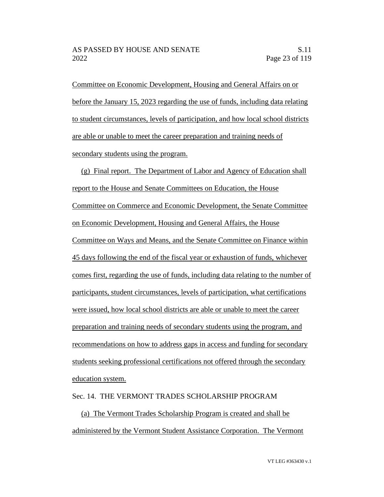Committee on Economic Development, Housing and General Affairs on or before the January 15, 2023 regarding the use of funds, including data relating to student circumstances, levels of participation, and how local school districts are able or unable to meet the career preparation and training needs of secondary students using the program.

(g) Final report. The Department of Labor and Agency of Education shall report to the House and Senate Committees on Education, the House Committee on Commerce and Economic Development, the Senate Committee on Economic Development, Housing and General Affairs, the House Committee on Ways and Means, and the Senate Committee on Finance within 45 days following the end of the fiscal year or exhaustion of funds, whichever comes first, regarding the use of funds, including data relating to the number of participants, student circumstances, levels of participation, what certifications were issued, how local school districts are able or unable to meet the career preparation and training needs of secondary students using the program, and recommendations on how to address gaps in access and funding for secondary students seeking professional certifications not offered through the secondary education system.

#### Sec. 14. THE VERMONT TRADES SCHOLARSHIP PROGRAM

(a) The Vermont Trades Scholarship Program is created and shall be administered by the Vermont Student Assistance Corporation. The Vermont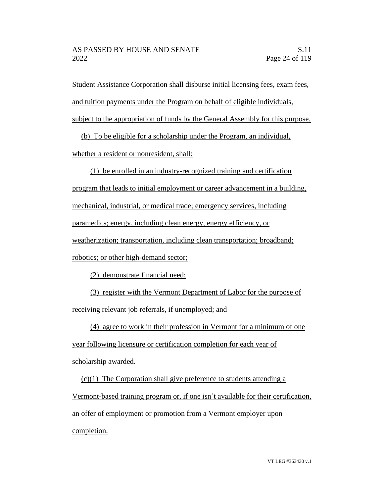Student Assistance Corporation shall disburse initial licensing fees, exam fees, and tuition payments under the Program on behalf of eligible individuals, subject to the appropriation of funds by the General Assembly for this purpose.

(b) To be eligible for a scholarship under the Program, an individual,

whether a resident or nonresident, shall:

(1) be enrolled in an industry-recognized training and certification program that leads to initial employment or career advancement in a building, mechanical, industrial, or medical trade; emergency services, including paramedics; energy, including clean energy, energy efficiency, or weatherization; transportation, including clean transportation; broadband; robotics; or other high-demand sector;

(2) demonstrate financial need;

(3) register with the Vermont Department of Labor for the purpose of receiving relevant job referrals, if unemployed; and

(4) agree to work in their profession in Vermont for a minimum of one year following licensure or certification completion for each year of

scholarship awarded.

(c)(1) The Corporation shall give preference to students attending a Vermont-based training program or, if one isn't available for their certification, an offer of employment or promotion from a Vermont employer upon completion.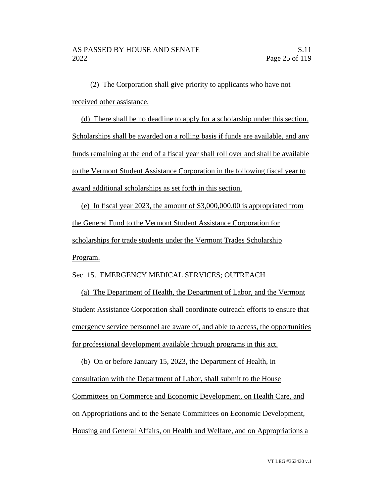(2) The Corporation shall give priority to applicants who have not received other assistance.

(d) There shall be no deadline to apply for a scholarship under this section. Scholarships shall be awarded on a rolling basis if funds are available, and any funds remaining at the end of a fiscal year shall roll over and shall be available to the Vermont Student Assistance Corporation in the following fiscal year to award additional scholarships as set forth in this section.

(e) In fiscal year 2023, the amount of \$3,000,000.00 is appropriated from the General Fund to the Vermont Student Assistance Corporation for scholarships for trade students under the Vermont Trades Scholarship Program.

Sec. 15. EMERGENCY MEDICAL SERVICES; OUTREACH

(a) The Department of Health, the Department of Labor, and the Vermont Student Assistance Corporation shall coordinate outreach efforts to ensure that emergency service personnel are aware of, and able to access, the opportunities for professional development available through programs in this act.

(b) On or before January 15, 2023, the Department of Health, in consultation with the Department of Labor, shall submit to the House Committees on Commerce and Economic Development, on Health Care, and on Appropriations and to the Senate Committees on Economic Development, Housing and General Affairs, on Health and Welfare, and on Appropriations a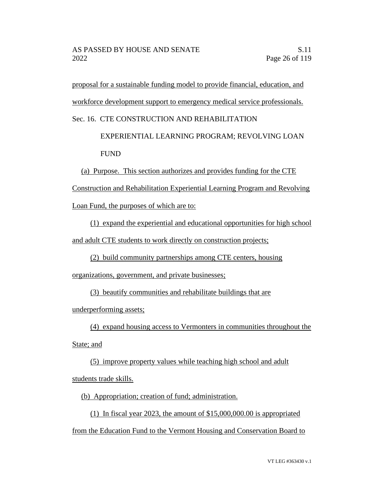proposal for a sustainable funding model to provide financial, education, and workforce development support to emergency medical service professionals.

Sec. 16. CTE CONSTRUCTION AND REHABILITATION

 EXPERIENTIAL LEARNING PROGRAM; REVOLVING LOAN FUND

(a) Purpose. This section authorizes and provides funding for the CTE

Construction and Rehabilitation Experiential Learning Program and Revolving

Loan Fund, the purposes of which are to:

(1) expand the experiential and educational opportunities for high school

and adult CTE students to work directly on construction projects;

(2) build community partnerships among CTE centers, housing

organizations, government, and private businesses;

(3) beautify communities and rehabilitate buildings that are

underperforming assets;

(4) expand housing access to Vermonters in communities throughout the

State; and

(5) improve property values while teaching high school and adult

students trade skills.

(b) Appropriation; creation of fund; administration.

(1) In fiscal year 2023, the amount of \$15,000,000.00 is appropriated from the Education Fund to the Vermont Housing and Conservation Board to

VT LEG #363430 v.1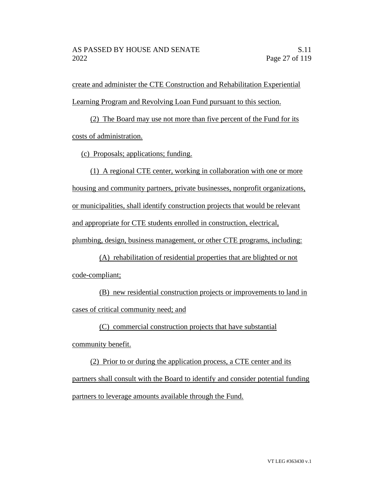create and administer the CTE Construction and Rehabilitation Experiential Learning Program and Revolving Loan Fund pursuant to this section.

(2) The Board may use not more than five percent of the Fund for its costs of administration.

(c) Proposals; applications; funding.

(1) A regional CTE center, working in collaboration with one or more housing and community partners, private businesses, nonprofit organizations, or municipalities, shall identify construction projects that would be relevant and appropriate for CTE students enrolled in construction, electrical, plumbing, design, business management, or other CTE programs, including:

(A) rehabilitation of residential properties that are blighted or not code-compliant;

(B) new residential construction projects or improvements to land in cases of critical community need; and

(C) commercial construction projects that have substantial

community benefit.

(2) Prior to or during the application process, a CTE center and its partners shall consult with the Board to identify and consider potential funding partners to leverage amounts available through the Fund.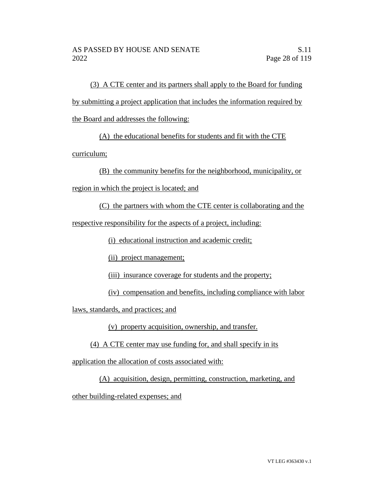(3) A CTE center and its partners shall apply to the Board for funding by submitting a project application that includes the information required by the Board and addresses the following:

(A) the educational benefits for students and fit with the CTE

curriculum;

(B) the community benefits for the neighborhood, municipality, or

region in which the project is located; and

(C) the partners with whom the CTE center is collaborating and the

respective responsibility for the aspects of a project, including:

(i) educational instruction and academic credit;

(ii) project management;

(iii) insurance coverage for students and the property;

(iv) compensation and benefits, including compliance with labor

laws, standards, and practices; and

(v) property acquisition, ownership, and transfer.

(4) A CTE center may use funding for, and shall specify in its

application the allocation of costs associated with:

(A) acquisition, design, permitting, construction, marketing, and

other building-related expenses; and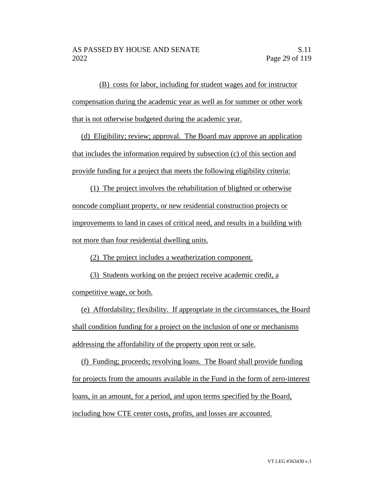(B) costs for labor, including for student wages and for instructor compensation during the academic year as well as for summer or other work that is not otherwise budgeted during the academic year.

(d) Eligibility; review; approval. The Board may approve an application that includes the information required by subsection (c) of this section and provide funding for a project that meets the following eligibility criteria:

(1) The project involves the rehabilitation of blighted or otherwise noncode compliant property, or new residential construction projects or improvements to land in cases of critical need, and results in a building with not more than four residential dwelling units.

(2) The project includes a weatherization component.

(3) Students working on the project receive academic credit, a competitive wage, or both.

(e) Affordability; flexibility. If appropriate in the circumstances, the Board shall condition funding for a project on the inclusion of one or mechanisms addressing the affordability of the property upon rent or sale.

(f) Funding; proceeds; revolving loans. The Board shall provide funding for projects from the amounts available in the Fund in the form of zero-interest loans, in an amount, for a period, and upon terms specified by the Board, including how CTE center costs, profits, and losses are accounted.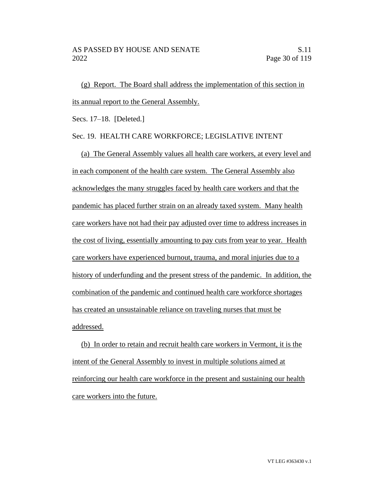(g) Report. The Board shall address the implementation of this section in its annual report to the General Assembly.

Secs. 17–18. [Deleted.]

#### Sec. 19. HEALTH CARE WORKFORCE; LEGISLATIVE INTENT

(a) The General Assembly values all health care workers, at every level and in each component of the health care system. The General Assembly also acknowledges the many struggles faced by health care workers and that the pandemic has placed further strain on an already taxed system. Many health care workers have not had their pay adjusted over time to address increases in the cost of living, essentially amounting to pay cuts from year to year. Health care workers have experienced burnout, trauma, and moral injuries due to a history of underfunding and the present stress of the pandemic. In addition, the combination of the pandemic and continued health care workforce shortages has created an unsustainable reliance on traveling nurses that must be addressed.

(b) In order to retain and recruit health care workers in Vermont, it is the intent of the General Assembly to invest in multiple solutions aimed at reinforcing our health care workforce in the present and sustaining our health care workers into the future.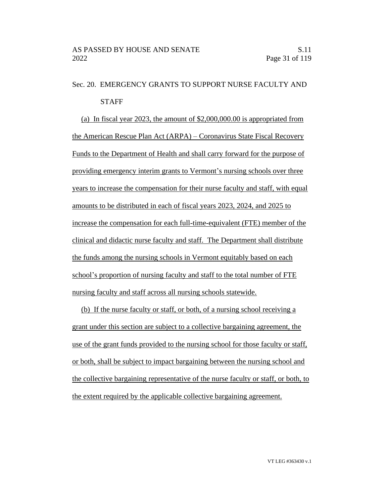# Sec. 20. EMERGENCY GRANTS TO SUPPORT NURSE FACULTY AND **STAFF**

(a) In fiscal year 2023, the amount of \$2,000,000.00 is appropriated from the American Rescue Plan Act (ARPA) – Coronavirus State Fiscal Recovery Funds to the Department of Health and shall carry forward for the purpose of providing emergency interim grants to Vermont's nursing schools over three years to increase the compensation for their nurse faculty and staff, with equal amounts to be distributed in each of fiscal years 2023, 2024, and 2025 to increase the compensation for each full-time-equivalent (FTE) member of the clinical and didactic nurse faculty and staff. The Department shall distribute the funds among the nursing schools in Vermont equitably based on each school's proportion of nursing faculty and staff to the total number of FTE nursing faculty and staff across all nursing schools statewide.

(b) If the nurse faculty or staff, or both, of a nursing school receiving a grant under this section are subject to a collective bargaining agreement, the use of the grant funds provided to the nursing school for those faculty or staff, or both, shall be subject to impact bargaining between the nursing school and the collective bargaining representative of the nurse faculty or staff, or both, to the extent required by the applicable collective bargaining agreement.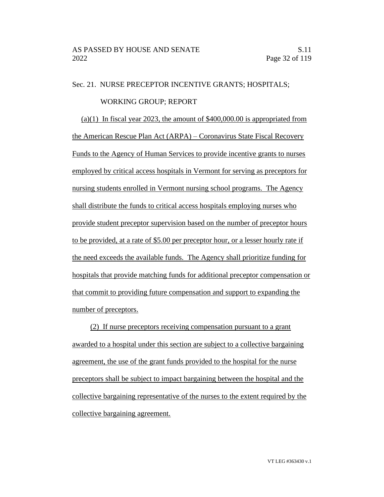#### Sec. 21. NURSE PRECEPTOR INCENTIVE GRANTS; HOSPITALS;

#### WORKING GROUP; REPORT

 $(a)(1)$  In fiscal year 2023, the amount of \$400,000.00 is appropriated from the American Rescue Plan Act (ARPA) – Coronavirus State Fiscal Recovery Funds to the Agency of Human Services to provide incentive grants to nurses employed by critical access hospitals in Vermont for serving as preceptors for nursing students enrolled in Vermont nursing school programs. The Agency shall distribute the funds to critical access hospitals employing nurses who provide student preceptor supervision based on the number of preceptor hours to be provided, at a rate of \$5.00 per preceptor hour, or a lesser hourly rate if the need exceeds the available funds. The Agency shall prioritize funding for hospitals that provide matching funds for additional preceptor compensation or that commit to providing future compensation and support to expanding the number of preceptors.

(2) If nurse preceptors receiving compensation pursuant to a grant awarded to a hospital under this section are subject to a collective bargaining agreement, the use of the grant funds provided to the hospital for the nurse preceptors shall be subject to impact bargaining between the hospital and the collective bargaining representative of the nurses to the extent required by the collective bargaining agreement.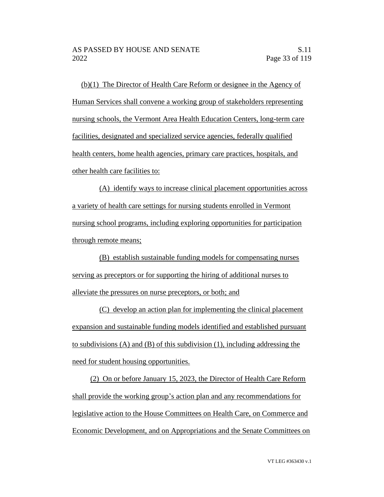(b)(1) The Director of Health Care Reform or designee in the Agency of Human Services shall convene a working group of stakeholders representing nursing schools, the Vermont Area Health Education Centers, long-term care facilities, designated and specialized service agencies, federally qualified health centers, home health agencies, primary care practices, hospitals, and other health care facilities to:

(A) identify ways to increase clinical placement opportunities across a variety of health care settings for nursing students enrolled in Vermont nursing school programs, including exploring opportunities for participation through remote means;

(B) establish sustainable funding models for compensating nurses serving as preceptors or for supporting the hiring of additional nurses to alleviate the pressures on nurse preceptors, or both; and

(C) develop an action plan for implementing the clinical placement expansion and sustainable funding models identified and established pursuant to subdivisions (A) and (B) of this subdivision (1), including addressing the need for student housing opportunities.

(2) On or before January 15, 2023, the Director of Health Care Reform shall provide the working group's action plan and any recommendations for legislative action to the House Committees on Health Care, on Commerce and Economic Development, and on Appropriations and the Senate Committees on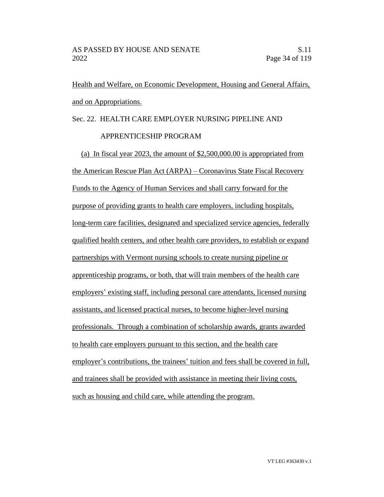Health and Welfare, on Economic Development, Housing and General Affairs, and on Appropriations.

# Sec. 22. HEALTH CARE EMPLOYER NURSING PIPELINE AND

## APPRENTICESHIP PROGRAM

(a) In fiscal year 2023, the amount of \$2,500,000.00 is appropriated from the American Rescue Plan Act (ARPA) – Coronavirus State Fiscal Recovery Funds to the Agency of Human Services and shall carry forward for the purpose of providing grants to health care employers, including hospitals, long-term care facilities, designated and specialized service agencies, federally qualified health centers, and other health care providers, to establish or expand partnerships with Vermont nursing schools to create nursing pipeline or apprenticeship programs, or both, that will train members of the health care employers' existing staff, including personal care attendants, licensed nursing assistants, and licensed practical nurses, to become higher-level nursing professionals. Through a combination of scholarship awards, grants awarded to health care employers pursuant to this section, and the health care employer's contributions, the trainees' tuition and fees shall be covered in full, and trainees shall be provided with assistance in meeting their living costs, such as housing and child care, while attending the program.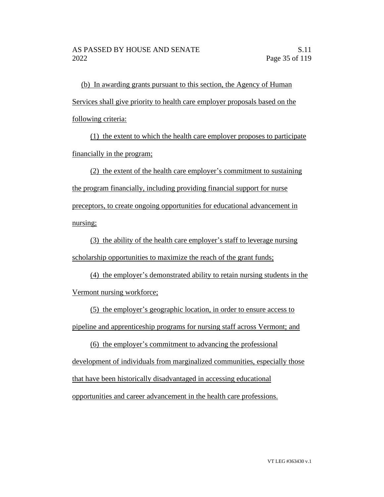(b) In awarding grants pursuant to this section, the Agency of Human Services shall give priority to health care employer proposals based on the following criteria:

(1) the extent to which the health care employer proposes to participate financially in the program;

(2) the extent of the health care employer's commitment to sustaining the program financially, including providing financial support for nurse preceptors, to create ongoing opportunities for educational advancement in nursing;

(3) the ability of the health care employer's staff to leverage nursing scholarship opportunities to maximize the reach of the grant funds;

(4) the employer's demonstrated ability to retain nursing students in the Vermont nursing workforce;

(5) the employer's geographic location, in order to ensure access to pipeline and apprenticeship programs for nursing staff across Vermont; and

(6) the employer's commitment to advancing the professional development of individuals from marginalized communities, especially those that have been historically disadvantaged in accessing educational opportunities and career advancement in the health care professions.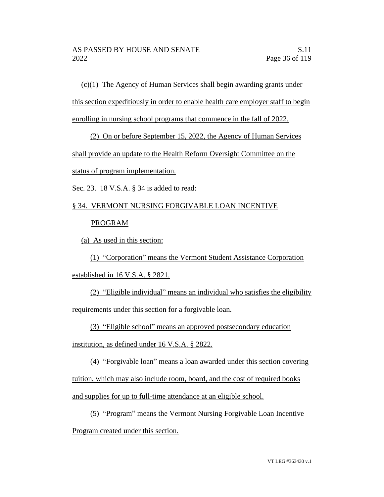(c)(1) The Agency of Human Services shall begin awarding grants under this section expeditiously in order to enable health care employer staff to begin enrolling in nursing school programs that commence in the fall of 2022.

(2) On or before September 15, 2022, the Agency of Human Services

shall provide an update to the Health Reform Oversight Committee on the

status of program implementation.

Sec. 23. 18 V.S.A. § 34 is added to read:

# § 34. VERMONT NURSING FORGIVABLE LOAN INCENTIVE PROGRAM

(a) As used in this section:

(1) "Corporation" means the Vermont Student Assistance Corporation established in 16 V.S.A. § 2821.

(2) "Eligible individual" means an individual who satisfies the eligibility requirements under this section for a forgivable loan.

(3) "Eligible school" means an approved postsecondary education

institution, as defined under 16 V.S.A. § 2822.

(4) "Forgivable loan" means a loan awarded under this section covering tuition, which may also include room, board, and the cost of required books and supplies for up to full-time attendance at an eligible school.

(5) "Program" means the Vermont Nursing Forgivable Loan Incentive Program created under this section.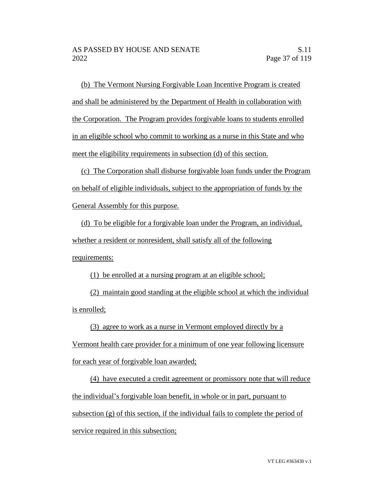(b) The Vermont Nursing Forgivable Loan Incentive Program is created and shall be administered by the Department of Health in collaboration with the Corporation. The Program provides forgivable loans to students enrolled in an eligible school who commit to working as a nurse in this State and who meet the eligibility requirements in subsection (d) of this section.

(c) The Corporation shall disburse forgivable loan funds under the Program on behalf of eligible individuals, subject to the appropriation of funds by the General Assembly for this purpose.

(d) To be eligible for a forgivable loan under the Program, an individual, whether a resident or nonresident, shall satisfy all of the following requirements:

(1) be enrolled at a nursing program at an eligible school;

(2) maintain good standing at the eligible school at which the individual is enrolled;

(3) agree to work as a nurse in Vermont employed directly by a

Vermont health care provider for a minimum of one year following licensure for each year of forgivable loan awarded;

(4) have executed a credit agreement or promissory note that will reduce the individual's forgivable loan benefit, in whole or in part, pursuant to subsection (g) of this section, if the individual fails to complete the period of service required in this subsection;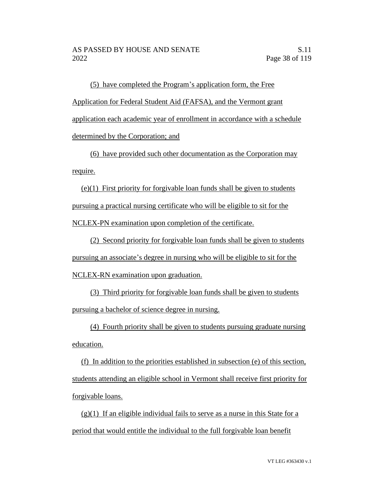(5) have completed the Program's application form, the Free Application for Federal Student Aid (FAFSA), and the Vermont grant application each academic year of enrollment in accordance with a schedule determined by the Corporation; and

(6) have provided such other documentation as the Corporation may require.

(e)(1) First priority for forgivable loan funds shall be given to students pursuing a practical nursing certificate who will be eligible to sit for the NCLEX-PN examination upon completion of the certificate.

(2) Second priority for forgivable loan funds shall be given to students pursuing an associate's degree in nursing who will be eligible to sit for the NCLEX-RN examination upon graduation.

(3) Third priority for forgivable loan funds shall be given to students pursuing a bachelor of science degree in nursing.

(4) Fourth priority shall be given to students pursuing graduate nursing education.

(f) In addition to the priorities established in subsection (e) of this section, students attending an eligible school in Vermont shall receive first priority for forgivable loans.

 $(g)(1)$  If an eligible individual fails to serve as a nurse in this State for a period that would entitle the individual to the full forgivable loan benefit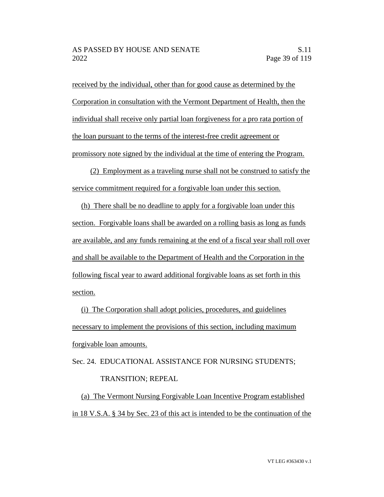received by the individual, other than for good cause as determined by the Corporation in consultation with the Vermont Department of Health, then the individual shall receive only partial loan forgiveness for a pro rata portion of the loan pursuant to the terms of the interest-free credit agreement or promissory note signed by the individual at the time of entering the Program.

(2) Employment as a traveling nurse shall not be construed to satisfy the service commitment required for a forgivable loan under this section.

(h) There shall be no deadline to apply for a forgivable loan under this section. Forgivable loans shall be awarded on a rolling basis as long as funds are available, and any funds remaining at the end of a fiscal year shall roll over and shall be available to the Department of Health and the Corporation in the following fiscal year to award additional forgivable loans as set forth in this section.

(i) The Corporation shall adopt policies, procedures, and guidelines necessary to implement the provisions of this section, including maximum forgivable loan amounts.

Sec. 24. EDUCATIONAL ASSISTANCE FOR NURSING STUDENTS; TRANSITION; REPEAL

(a) The Vermont Nursing Forgivable Loan Incentive Program established in 18 V.S.A. § 34 by Sec. 23 of this act is intended to be the continuation of the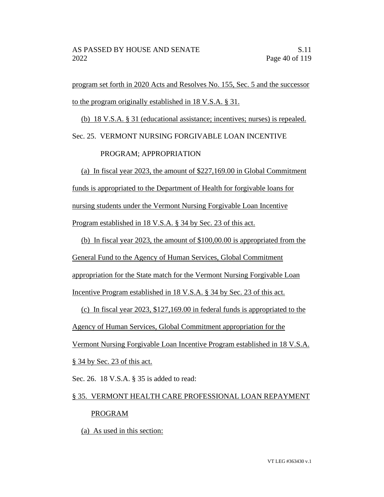program set forth in 2020 Acts and Resolves No. 155, Sec. 5 and the successor to the program originally established in 18 V.S.A. § 31.

(b) 18 V.S.A. § 31 (educational assistance; incentives; nurses) is repealed.

Sec. 25. VERMONT NURSING FORGIVABLE LOAN INCENTIVE

# PROGRAM; APPROPRIATION

(a) In fiscal year 2023, the amount of \$227,169.00 in Global Commitment funds is appropriated to the Department of Health for forgivable loans for nursing students under the Vermont Nursing Forgivable Loan Incentive Program established in 18 V.S.A. § 34 by Sec. 23 of this act.

(b) In fiscal year 2023, the amount of \$100,00.00 is appropriated from the General Fund to the Agency of Human Services, Global Commitment appropriation for the State match for the Vermont Nursing Forgivable Loan Incentive Program established in 18 V.S.A. § 34 by Sec. 23 of this act.

(c) In fiscal year 2023, \$127,169.00 in federal funds is appropriated to the Agency of Human Services, Global Commitment appropriation for the Vermont Nursing Forgivable Loan Incentive Program established in 18 V.S.A. § 34 by Sec. 23 of this act.

Sec. 26. 18 V.S.A. § 35 is added to read:

# § 35. VERMONT HEALTH CARE PROFESSIONAL LOAN REPAYMENT PROGRAM

(a) As used in this section: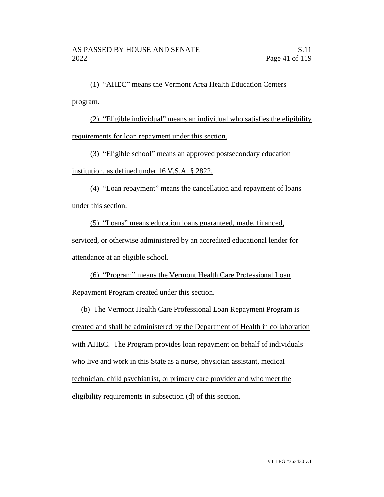(1) "AHEC" means the Vermont Area Health Education Centers program.

(2) "Eligible individual" means an individual who satisfies the eligibility requirements for loan repayment under this section.

(3) "Eligible school" means an approved postsecondary education

institution, as defined under 16 V.S.A. § 2822.

(4) "Loan repayment" means the cancellation and repayment of loans under this section.

(5) "Loans" means education loans guaranteed, made, financed, serviced, or otherwise administered by an accredited educational lender for attendance at an eligible school.

(6) "Program" means the Vermont Health Care Professional Loan Repayment Program created under this section.

(b) The Vermont Health Care Professional Loan Repayment Program is created and shall be administered by the Department of Health in collaboration with AHEC. The Program provides loan repayment on behalf of individuals who live and work in this State as a nurse, physician assistant, medical technician, child psychiatrist, or primary care provider and who meet the eligibility requirements in subsection (d) of this section.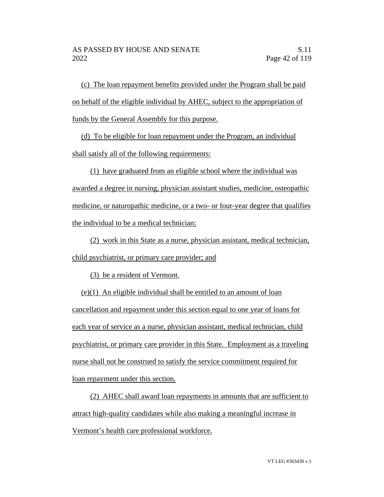(c) The loan repayment benefits provided under the Program shall be paid on behalf of the eligible individual by AHEC, subject to the appropriation of funds by the General Assembly for this purpose.

(d) To be eligible for loan repayment under the Program, an individual shall satisfy all of the following requirements:

(1) have graduated from an eligible school where the individual was awarded a degree in nursing, physician assistant studies, medicine, osteopathic medicine, or naturopathic medicine, or a two- or four-year degree that qualifies the individual to be a medical technician;

(2) work in this State as a nurse, physician assistant, medical technician, child psychiatrist, or primary care provider; and

(3) be a resident of Vermont.

(e)(1) An eligible individual shall be entitled to an amount of loan cancellation and repayment under this section equal to one year of loans for each year of service as a nurse, physician assistant, medical technician, child psychiatrist, or primary care provider in this State. Employment as a traveling nurse shall not be construed to satisfy the service commitment required for loan repayment under this section.

(2) AHEC shall award loan repayments in amounts that are sufficient to attract high-quality candidates while also making a meaningful increase in Vermont's health care professional workforce.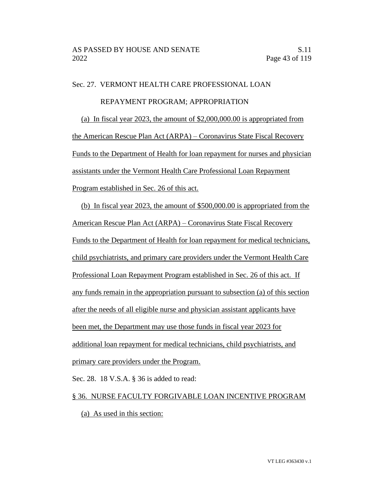## Sec. 27. VERMONT HEALTH CARE PROFESSIONAL LOAN

#### REPAYMENT PROGRAM; APPROPRIATION

(a) In fiscal year 2023, the amount of \$2,000,000.00 is appropriated from the American Rescue Plan Act (ARPA) – Coronavirus State Fiscal Recovery Funds to the Department of Health for loan repayment for nurses and physician assistants under the Vermont Health Care Professional Loan Repayment Program established in Sec. 26 of this act.

(b) In fiscal year 2023, the amount of \$500,000.00 is appropriated from the American Rescue Plan Act (ARPA) – Coronavirus State Fiscal Recovery Funds to the Department of Health for loan repayment for medical technicians, child psychiatrists, and primary care providers under the Vermont Health Care Professional Loan Repayment Program established in Sec. 26 of this act. If any funds remain in the appropriation pursuant to subsection (a) of this section after the needs of all eligible nurse and physician assistant applicants have been met, the Department may use those funds in fiscal year 2023 for additional loan repayment for medical technicians, child psychiatrists, and primary care providers under the Program.

Sec. 28. 18 V.S.A. § 36 is added to read:

#### § 36. NURSE FACULTY FORGIVABLE LOAN INCENTIVE PROGRAM

(a) As used in this section: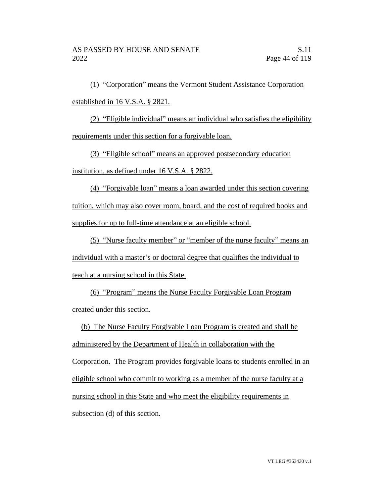(1) "Corporation" means the Vermont Student Assistance Corporation established in 16 V.S.A. § 2821.

(2) "Eligible individual" means an individual who satisfies the eligibility requirements under this section for a forgivable loan.

(3) "Eligible school" means an approved postsecondary education institution, as defined under 16 V.S.A. § 2822.

(4) "Forgivable loan" means a loan awarded under this section covering tuition, which may also cover room, board, and the cost of required books and supplies for up to full-time attendance at an eligible school.

(5) "Nurse faculty member" or "member of the nurse faculty" means an individual with a master's or doctoral degree that qualifies the individual to teach at a nursing school in this State.

(6) "Program" means the Nurse Faculty Forgivable Loan Program created under this section.

(b) The Nurse Faculty Forgivable Loan Program is created and shall be administered by the Department of Health in collaboration with the Corporation. The Program provides forgivable loans to students enrolled in an eligible school who commit to working as a member of the nurse faculty at a nursing school in this State and who meet the eligibility requirements in subsection (d) of this section.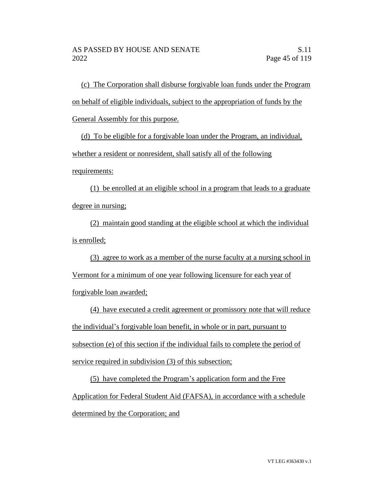(c) The Corporation shall disburse forgivable loan funds under the Program on behalf of eligible individuals, subject to the appropriation of funds by the General Assembly for this purpose.

(d) To be eligible for a forgivable loan under the Program, an individual, whether a resident or nonresident, shall satisfy all of the following requirements:

(1) be enrolled at an eligible school in a program that leads to a graduate degree in nursing;

(2) maintain good standing at the eligible school at which the individual is enrolled;

(3) agree to work as a member of the nurse faculty at a nursing school in Vermont for a minimum of one year following licensure for each year of forgivable loan awarded;

(4) have executed a credit agreement or promissory note that will reduce the individual's forgivable loan benefit, in whole or in part, pursuant to subsection (e) of this section if the individual fails to complete the period of service required in subdivision (3) of this subsection;

(5) have completed the Program's application form and the Free Application for Federal Student Aid (FAFSA), in accordance with a schedule determined by the Corporation; and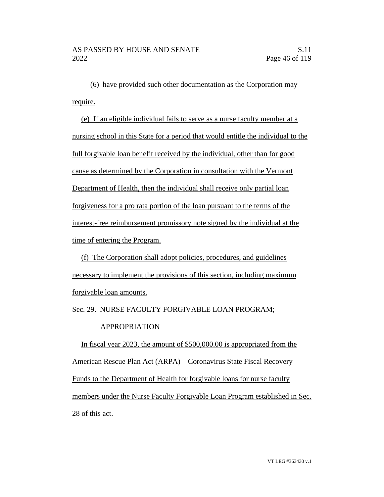(6) have provided such other documentation as the Corporation may require.

(e) If an eligible individual fails to serve as a nurse faculty member at a nursing school in this State for a period that would entitle the individual to the full forgivable loan benefit received by the individual, other than for good cause as determined by the Corporation in consultation with the Vermont Department of Health, then the individual shall receive only partial loan forgiveness for a pro rata portion of the loan pursuant to the terms of the interest-free reimbursement promissory note signed by the individual at the time of entering the Program.

(f) The Corporation shall adopt policies, procedures, and guidelines necessary to implement the provisions of this section, including maximum forgivable loan amounts.

Sec. 29. NURSE FACULTY FORGIVABLE LOAN PROGRAM;

# APPROPRIATION

In fiscal year 2023, the amount of \$500,000.00 is appropriated from the American Rescue Plan Act (ARPA) – Coronavirus State Fiscal Recovery Funds to the Department of Health for forgivable loans for nurse faculty members under the Nurse Faculty Forgivable Loan Program established in Sec. 28 of this act.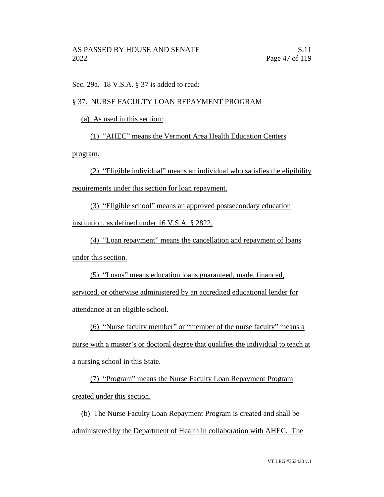Sec. 29a. 18 V.S.A. § 37 is added to read:

# § 37. NURSE FACULTY LOAN REPAYMENT PROGRAM

(a) As used in this section:

(1) "AHEC" means the Vermont Area Health Education Centers

program.

(2) "Eligible individual" means an individual who satisfies the eligibility requirements under this section for loan repayment.

(3) "Eligible school" means an approved postsecondary education institution, as defined under 16 V.S.A. § 2822.

(4) "Loan repayment" means the cancellation and repayment of loans under this section.

(5) "Loans" means education loans guaranteed, made, financed,

serviced, or otherwise administered by an accredited educational lender for attendance at an eligible school.

(6) "Nurse faculty member" or "member of the nurse faculty" means a

nurse with a master's or doctoral degree that qualifies the individual to teach at a nursing school in this State.

(7) "Program" means the Nurse Faculty Loan Repayment Program created under this section.

(b) The Nurse Faculty Loan Repayment Program is created and shall be administered by the Department of Health in collaboration with AHEC. The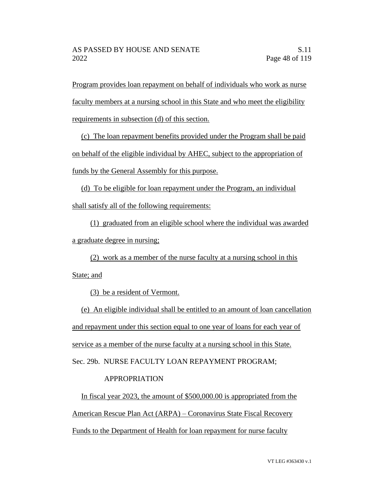Program provides loan repayment on behalf of individuals who work as nurse faculty members at a nursing school in this State and who meet the eligibility requirements in subsection (d) of this section.

(c) The loan repayment benefits provided under the Program shall be paid on behalf of the eligible individual by AHEC, subject to the appropriation of funds by the General Assembly for this purpose.

(d) To be eligible for loan repayment under the Program, an individual shall satisfy all of the following requirements:

(1) graduated from an eligible school where the individual was awarded a graduate degree in nursing;

(2) work as a member of the nurse faculty at a nursing school in this State; and

(3) be a resident of Vermont.

(e) An eligible individual shall be entitled to an amount of loan cancellation and repayment under this section equal to one year of loans for each year of service as a member of the nurse faculty at a nursing school in this State. Sec. 29b. NURSE FACULTY LOAN REPAYMENT PROGRAM;

# APPROPRIATION

In fiscal year 2023, the amount of \$500,000.00 is appropriated from the American Rescue Plan Act (ARPA) – Coronavirus State Fiscal Recovery Funds to the Department of Health for loan repayment for nurse faculty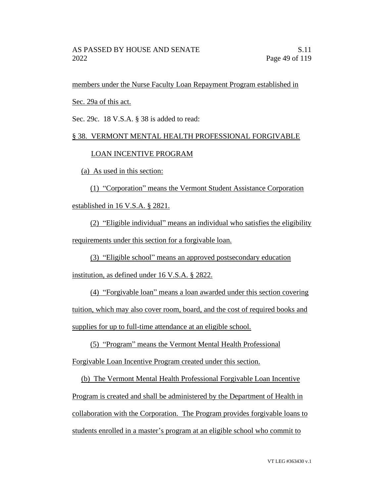members under the Nurse Faculty Loan Repayment Program established in

Sec. 29a of this act.

Sec. 29c. 18 V.S.A. § 38 is added to read:

# § 38. VERMONT MENTAL HEALTH PROFESSIONAL FORGIVABLE

# LOAN INCENTIVE PROGRAM

(a) As used in this section:

(1) "Corporation" means the Vermont Student Assistance Corporation established in 16 V.S.A. § 2821.

(2) "Eligible individual" means an individual who satisfies the eligibility requirements under this section for a forgivable loan.

(3) "Eligible school" means an approved postsecondary education

institution, as defined under 16 V.S.A. § 2822.

(4) "Forgivable loan" means a loan awarded under this section covering tuition, which may also cover room, board, and the cost of required books and supplies for up to full-time attendance at an eligible school.

(5) "Program" means the Vermont Mental Health Professional

Forgivable Loan Incentive Program created under this section.

(b) The Vermont Mental Health Professional Forgivable Loan Incentive Program is created and shall be administered by the Department of Health in collaboration with the Corporation. The Program provides forgivable loans to students enrolled in a master's program at an eligible school who commit to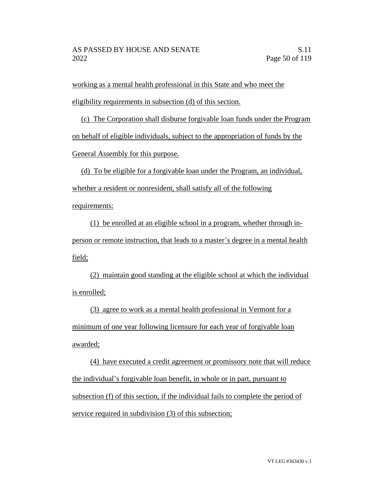working as a mental health professional in this State and who meet the eligibility requirements in subsection (d) of this section.

(c) The Corporation shall disburse forgivable loan funds under the Program on behalf of eligible individuals, subject to the appropriation of funds by the General Assembly for this purpose.

(d) To be eligible for a forgivable loan under the Program, an individual, whether a resident or nonresident, shall satisfy all of the following

requirements:

(1) be enrolled at an eligible school in a program, whether through inperson or remote instruction, that leads to a master's degree in a mental health field;

(2) maintain good standing at the eligible school at which the individual is enrolled;

(3) agree to work as a mental health professional in Vermont for a minimum of one year following licensure for each year of forgivable loan awarded;

(4) have executed a credit agreement or promissory note that will reduce the individual's forgivable loan benefit, in whole or in part, pursuant to subsection (f) of this section, if the individual fails to complete the period of service required in subdivision (3) of this subsection;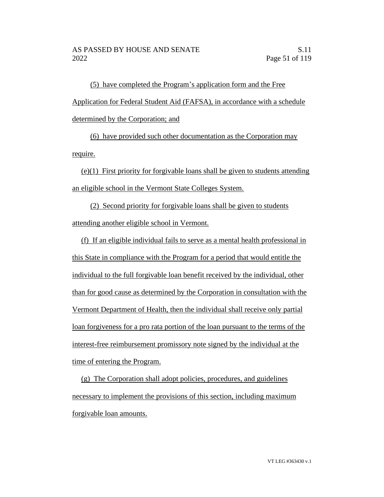(5) have completed the Program's application form and the Free Application for Federal Student Aid (FAFSA), in accordance with a schedule determined by the Corporation; and

(6) have provided such other documentation as the Corporation may require.

(e)(1) First priority for forgivable loans shall be given to students attending an eligible school in the Vermont State Colleges System.

(2) Second priority for forgivable loans shall be given to students attending another eligible school in Vermont.

(f) If an eligible individual fails to serve as a mental health professional in this State in compliance with the Program for a period that would entitle the individual to the full forgivable loan benefit received by the individual, other than for good cause as determined by the Corporation in consultation with the Vermont Department of Health, then the individual shall receive only partial loan forgiveness for a pro rata portion of the loan pursuant to the terms of the interest-free reimbursement promissory note signed by the individual at the time of entering the Program.

(g) The Corporation shall adopt policies, procedures, and guidelines necessary to implement the provisions of this section, including maximum forgivable loan amounts.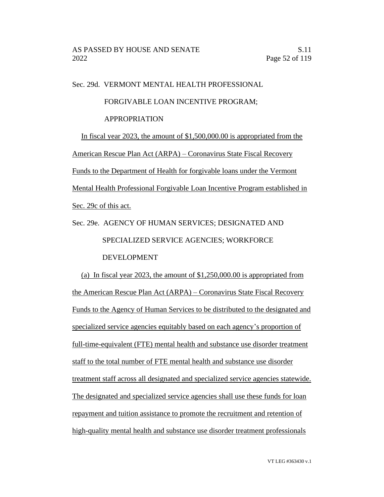Sec. 29d. VERMONT MENTAL HEALTH PROFESSIONAL

#### FORGIVABLE LOAN INCENTIVE PROGRAM;

#### APPROPRIATION

In fiscal year 2023, the amount of \$1,500,000.00 is appropriated from the American Rescue Plan Act (ARPA) – Coronavirus State Fiscal Recovery Funds to the Department of Health for forgivable loans under the Vermont Mental Health Professional Forgivable Loan Incentive Program established in Sec. 29c of this act.

Sec. 29e. AGENCY OF HUMAN SERVICES; DESIGNATED AND SPECIALIZED SERVICE AGENCIES; WORKFORCE DEVELOPMENT

(a) In fiscal year 2023, the amount of \$1,250,000.00 is appropriated from the American Rescue Plan Act (ARPA) – Coronavirus State Fiscal Recovery Funds to the Agency of Human Services to be distributed to the designated and specialized service agencies equitably based on each agency's proportion of full-time-equivalent (FTE) mental health and substance use disorder treatment staff to the total number of FTE mental health and substance use disorder treatment staff across all designated and specialized service agencies statewide. The designated and specialized service agencies shall use these funds for loan repayment and tuition assistance to promote the recruitment and retention of high-quality mental health and substance use disorder treatment professionals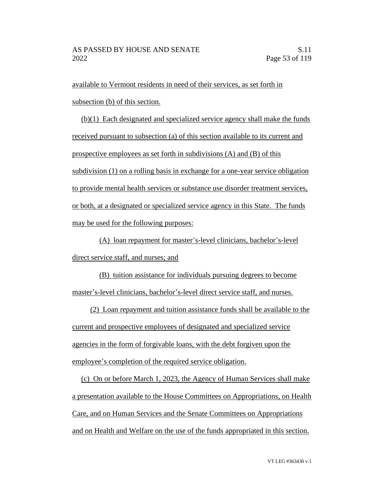available to Vermont residents in need of their services, as set forth in subsection (b) of this section.

(b)(1) Each designated and specialized service agency shall make the funds received pursuant to subsection (a) of this section available to its current and prospective employees as set forth in subdivisions (A) and (B) of this subdivision (1) on a rolling basis in exchange for a one-year service obligation to provide mental health services or substance use disorder treatment services, or both, at a designated or specialized service agency in this State. The funds may be used for the following purposes:

(A) loan repayment for master's-level clinicians, bachelor's-level direct service staff, and nurses; and

(B) tuition assistance for individuals pursuing degrees to become master's-level clinicians, bachelor's-level direct service staff, and nurses.

(2) Loan repayment and tuition assistance funds shall be available to the current and prospective employees of designated and specialized service agencies in the form of forgivable loans, with the debt forgiven upon the employee's completion of the required service obligation.

(c) On or before March 1, 2023, the Agency of Human Services shall make a presentation available to the House Committees on Appropriations, on Health Care, and on Human Services and the Senate Committees on Appropriations and on Health and Welfare on the use of the funds appropriated in this section.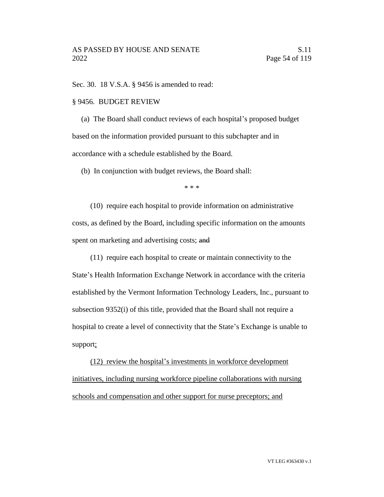Sec. 30. 18 V.S.A. § 9456 is amended to read:

#### § 9456. BUDGET REVIEW

(a) The Board shall conduct reviews of each hospital's proposed budget based on the information provided pursuant to this subchapter and in accordance with a schedule established by the Board.

(b) In conjunction with budget reviews, the Board shall:

\* \* \*

(10) require each hospital to provide information on administrative costs, as defined by the Board, including specific information on the amounts spent on marketing and advertising costs; and

(11) require each hospital to create or maintain connectivity to the

State's Health Information Exchange Network in accordance with the criteria established by the Vermont Information Technology Leaders, Inc., pursuant to subsection 9352(i) of this title, provided that the Board shall not require a hospital to create a level of connectivity that the State's Exchange is unable to support;

(12) review the hospital's investments in workforce development initiatives, including nursing workforce pipeline collaborations with nursing schools and compensation and other support for nurse preceptors; and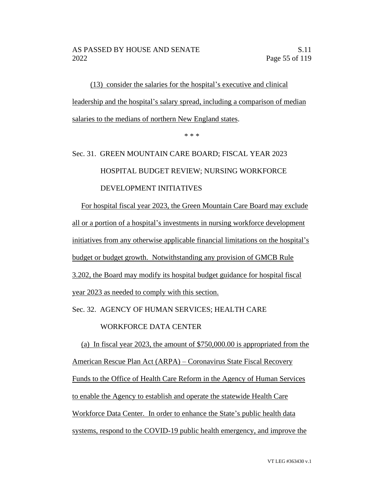(13) consider the salaries for the hospital's executive and clinical leadership and the hospital's salary spread, including a comparison of median salaries to the medians of northern New England states.

\* \* \*

# Sec. 31. GREEN MOUNTAIN CARE BOARD; FISCAL YEAR 2023 HOSPITAL BUDGET REVIEW; NURSING WORKFORCE DEVELOPMENT INITIATIVES

For hospital fiscal year 2023, the Green Mountain Care Board may exclude all or a portion of a hospital's investments in nursing workforce development initiatives from any otherwise applicable financial limitations on the hospital's budget or budget growth. Notwithstanding any provision of GMCB Rule 3.202, the Board may modify its hospital budget guidance for hospital fiscal year 2023 as needed to comply with this section.

Sec. 32. AGENCY OF HUMAN SERVICES; HEALTH CARE

# WORKFORCE DATA CENTER

(a) In fiscal year 2023, the amount of \$750,000.00 is appropriated from the American Rescue Plan Act (ARPA) – Coronavirus State Fiscal Recovery Funds to the Office of Health Care Reform in the Agency of Human Services to enable the Agency to establish and operate the statewide Health Care Workforce Data Center. In order to enhance the State's public health data systems, respond to the COVID-19 public health emergency, and improve the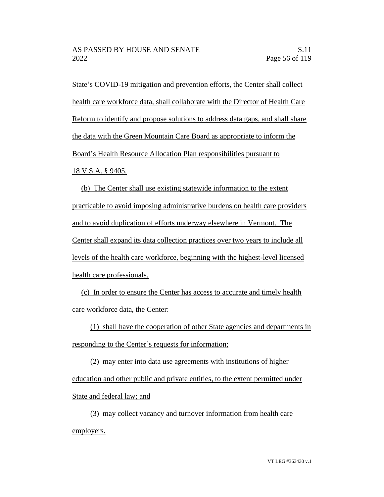State's COVID-19 mitigation and prevention efforts, the Center shall collect health care workforce data, shall collaborate with the Director of Health Care Reform to identify and propose solutions to address data gaps, and shall share the data with the Green Mountain Care Board as appropriate to inform the Board's Health Resource Allocation Plan responsibilities pursuant to 18 V.S.A. § 9405.

(b) The Center shall use existing statewide information to the extent practicable to avoid imposing administrative burdens on health care providers and to avoid duplication of efforts underway elsewhere in Vermont. The Center shall expand its data collection practices over two years to include all levels of the health care workforce, beginning with the highest-level licensed health care professionals.

(c) In order to ensure the Center has access to accurate and timely health care workforce data, the Center:

(1) shall have the cooperation of other State agencies and departments in responding to the Center's requests for information;

(2) may enter into data use agreements with institutions of higher education and other public and private entities, to the extent permitted under State and federal law; and

(3) may collect vacancy and turnover information from health care employers.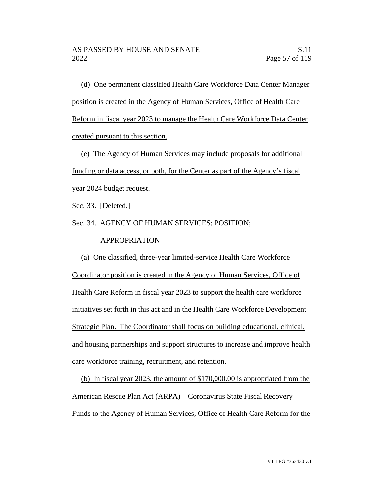(d) One permanent classified Health Care Workforce Data Center Manager position is created in the Agency of Human Services, Office of Health Care Reform in fiscal year 2023 to manage the Health Care Workforce Data Center created pursuant to this section.

(e) The Agency of Human Services may include proposals for additional funding or data access, or both, for the Center as part of the Agency's fiscal year 2024 budget request.

Sec. 33. [Deleted.]

Sec. 34. AGENCY OF HUMAN SERVICES; POSITION;

## APPROPRIATION

(a) One classified, three-year limited-service Health Care Workforce Coordinator position is created in the Agency of Human Services, Office of Health Care Reform in fiscal year 2023 to support the health care workforce initiatives set forth in this act and in the Health Care Workforce Development Strategic Plan. The Coordinator shall focus on building educational, clinical, and housing partnerships and support structures to increase and improve health care workforce training, recruitment, and retention.

(b) In fiscal year 2023, the amount of \$170,000.00 is appropriated from the American Rescue Plan Act (ARPA) – Coronavirus State Fiscal Recovery Funds to the Agency of Human Services, Office of Health Care Reform for the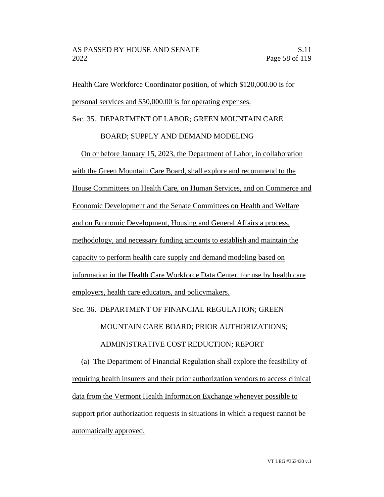Health Care Workforce Coordinator position, of which \$120,000.00 is for personal services and \$50,000.00 is for operating expenses.

Sec. 35. DEPARTMENT OF LABOR; GREEN MOUNTAIN CARE

#### BOARD; SUPPLY AND DEMAND MODELING

On or before January 15, 2023, the Department of Labor, in collaboration with the Green Mountain Care Board, shall explore and recommend to the House Committees on Health Care, on Human Services, and on Commerce and Economic Development and the Senate Committees on Health and Welfare and on Economic Development, Housing and General Affairs a process, methodology, and necessary funding amounts to establish and maintain the capacity to perform health care supply and demand modeling based on information in the Health Care Workforce Data Center, for use by health care employers, health care educators, and policymakers.

Sec. 36. DEPARTMENT OF FINANCIAL REGULATION; GREEN

MOUNTAIN CARE BOARD; PRIOR AUTHORIZATIONS;

# ADMINISTRATIVE COST REDUCTION; REPORT

(a) The Department of Financial Regulation shall explore the feasibility of requiring health insurers and their prior authorization vendors to access clinical data from the Vermont Health Information Exchange whenever possible to support prior authorization requests in situations in which a request cannot be automatically approved.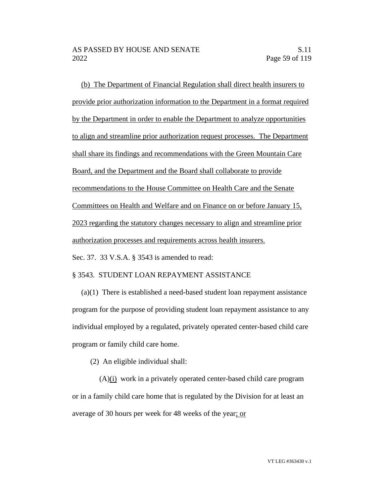(b) The Department of Financial Regulation shall direct health insurers to provide prior authorization information to the Department in a format required by the Department in order to enable the Department to analyze opportunities to align and streamline prior authorization request processes. The Department shall share its findings and recommendations with the Green Mountain Care Board, and the Department and the Board shall collaborate to provide recommendations to the House Committee on Health Care and the Senate Committees on Health and Welfare and on Finance on or before January 15, 2023 regarding the statutory changes necessary to align and streamline prior authorization processes and requirements across health insurers.

Sec. 37. 33 V.S.A. § 3543 is amended to read:

## § 3543. STUDENT LOAN REPAYMENT ASSISTANCE

(a)(1) There is established a need-based student loan repayment assistance program for the purpose of providing student loan repayment assistance to any individual employed by a regulated, privately operated center-based child care program or family child care home.

(2) An eligible individual shall:

(A)(i) work in a privately operated center-based child care program or in a family child care home that is regulated by the Division for at least an average of 30 hours per week for 48 weeks of the year; or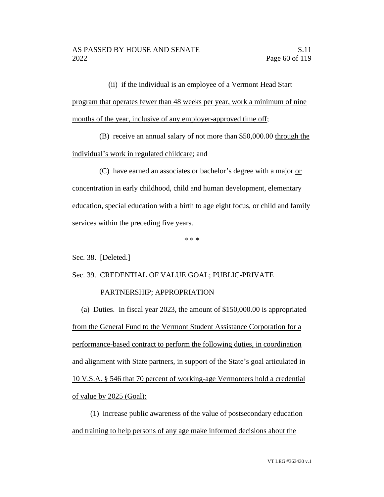(ii) if the individual is an employee of a Vermont Head Start program that operates fewer than 48 weeks per year, work a minimum of nine months of the year, inclusive of any employer-approved time off;

(B) receive an annual salary of not more than \$50,000.00 through the

individual's work in regulated childcare; and

(C) have earned an associates or bachelor's degree with a major or concentration in early childhood, child and human development, elementary education, special education with a birth to age eight focus, or child and family services within the preceding five years.

\* \* \*

Sec. 38. [Deleted.]

Sec. 39. CREDENTIAL OF VALUE GOAL; PUBLIC-PRIVATE PARTNERSHIP; APPROPRIATION

(a) Duties. In fiscal year 2023, the amount of \$150,000.00 is appropriated from the General Fund to the Vermont Student Assistance Corporation for a performance-based contract to perform the following duties, in coordination and alignment with State partners, in support of the State's goal articulated in 10 V.S.A. § 546 that 70 percent of working-age Vermonters hold a credential of value by 2025 (Goal):

(1) increase public awareness of the value of postsecondary education and training to help persons of any age make informed decisions about the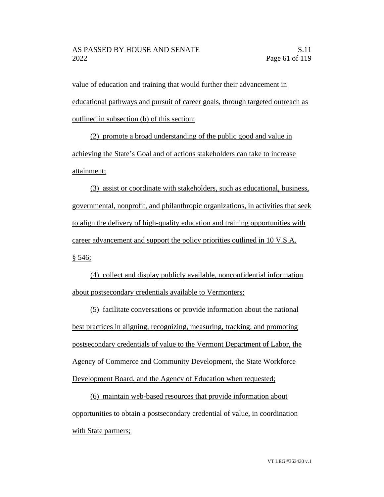value of education and training that would further their advancement in educational pathways and pursuit of career goals, through targeted outreach as outlined in subsection (b) of this section;

(2) promote a broad understanding of the public good and value in achieving the State's Goal and of actions stakeholders can take to increase attainment;

(3) assist or coordinate with stakeholders, such as educational, business, governmental, nonprofit, and philanthropic organizations, in activities that seek to align the delivery of high-quality education and training opportunities with career advancement and support the policy priorities outlined in 10 V.S.A.  $§ 546;$ 

(4) collect and display publicly available, nonconfidential information about postsecondary credentials available to Vermonters;

(5) facilitate conversations or provide information about the national best practices in aligning, recognizing, measuring, tracking, and promoting postsecondary credentials of value to the Vermont Department of Labor, the Agency of Commerce and Community Development, the State Workforce Development Board, and the Agency of Education when requested;

(6) maintain web-based resources that provide information about opportunities to obtain a postsecondary credential of value, in coordination with State partners;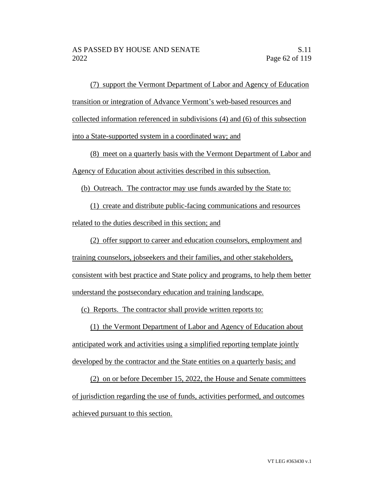(7) support the Vermont Department of Labor and Agency of Education transition or integration of Advance Vermont's web-based resources and collected information referenced in subdivisions (4) and (6) of this subsection into a State-supported system in a coordinated way; and

(8) meet on a quarterly basis with the Vermont Department of Labor and Agency of Education about activities described in this subsection.

(b) Outreach. The contractor may use funds awarded by the State to:

(1) create and distribute public-facing communications and resources related to the duties described in this section; and

(2) offer support to career and education counselors, employment and training counselors, jobseekers and their families, and other stakeholders, consistent with best practice and State policy and programs, to help them better understand the postsecondary education and training landscape.

(c) Reports. The contractor shall provide written reports to:

(1) the Vermont Department of Labor and Agency of Education about anticipated work and activities using a simplified reporting template jointly developed by the contractor and the State entities on a quarterly basis; and

(2) on or before December 15, 2022, the House and Senate committees of jurisdiction regarding the use of funds, activities performed, and outcomes achieved pursuant to this section.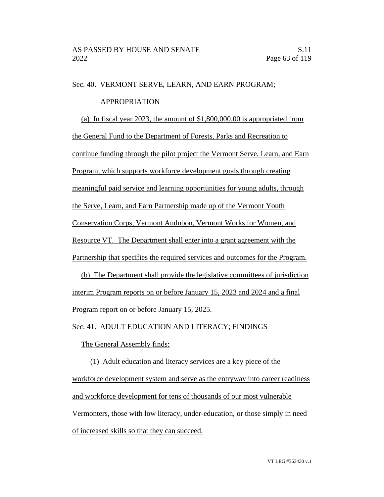#### Sec. 40. VERMONT SERVE, LEARN, AND EARN PROGRAM;

## APPROPRIATION

(a) In fiscal year 2023, the amount of \$1,800,000.00 is appropriated from the General Fund to the Department of Forests, Parks and Recreation to continue funding through the pilot project the Vermont Serve, Learn, and Earn Program, which supports workforce development goals through creating meaningful paid service and learning opportunities for young adults, through the Serve, Learn, and Earn Partnership made up of the Vermont Youth Conservation Corps, Vermont Audubon, Vermont Works for Women, and Resource VT. The Department shall enter into a grant agreement with the Partnership that specifies the required services and outcomes for the Program.

(b) The Department shall provide the legislative committees of jurisdiction interim Program reports on or before January 15, 2023 and 2024 and a final Program report on or before January 15, 2025.

Sec. 41. ADULT EDUCATION AND LITERACY; FINDINGS

The General Assembly finds:

(1) Adult education and literacy services are a key piece of the workforce development system and serve as the entryway into career readiness and workforce development for tens of thousands of our most vulnerable Vermonters, those with low literacy, under-education, or those simply in need of increased skills so that they can succeed.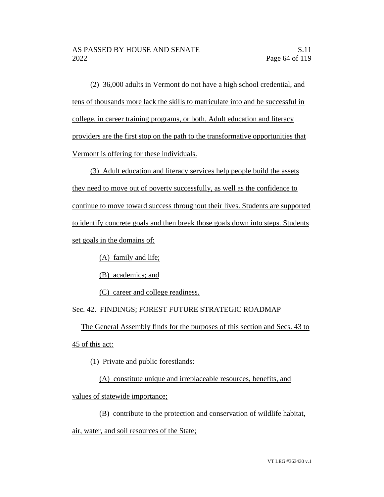(2) 36,000 adults in Vermont do not have a high school credential, and tens of thousands more lack the skills to matriculate into and be successful in college, in career training programs, or both. Adult education and literacy providers are the first stop on the path to the transformative opportunities that Vermont is offering for these individuals.

(3) Adult education and literacy services help people build the assets they need to move out of poverty successfully, as well as the confidence to continue to move toward success throughout their lives. Students are supported to identify concrete goals and then break those goals down into steps. Students set goals in the domains of:

(A) family and life;

(B) academics; and

(C) career and college readiness.

# Sec. 42. FINDINGS; FOREST FUTURE STRATEGIC ROADMAP

The General Assembly finds for the purposes of this section and Secs. 43 to

45 of this act:

(1) Private and public forestlands:

(A) constitute unique and irreplaceable resources, benefits, and

values of statewide importance;

(B) contribute to the protection and conservation of wildlife habitat, air, water, and soil resources of the State;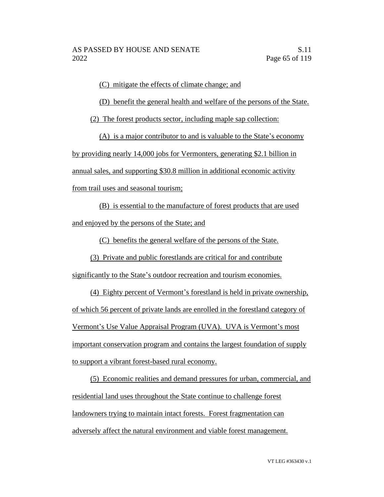(C) mitigate the effects of climate change; and

(D) benefit the general health and welfare of the persons of the State.

(2) The forest products sector, including maple sap collection:

(A) is a major contributor to and is valuable to the State's economy by providing nearly 14,000 jobs for Vermonters, generating \$2.1 billion in annual sales, and supporting \$30.8 million in additional economic activity from trail uses and seasonal tourism;

(B) is essential to the manufacture of forest products that are used and enjoyed by the persons of the State; and

(C) benefits the general welfare of the persons of the State.

(3) Private and public forestlands are critical for and contribute

significantly to the State's outdoor recreation and tourism economies.

(4) Eighty percent of Vermont's forestland is held in private ownership, of which 56 percent of private lands are enrolled in the forestland category of Vermont's Use Value Appraisal Program (UVA). UVA is Vermont's most important conservation program and contains the largest foundation of supply to support a vibrant forest-based rural economy.

(5) Economic realities and demand pressures for urban, commercial, and residential land uses throughout the State continue to challenge forest landowners trying to maintain intact forests. Forest fragmentation can adversely affect the natural environment and viable forest management.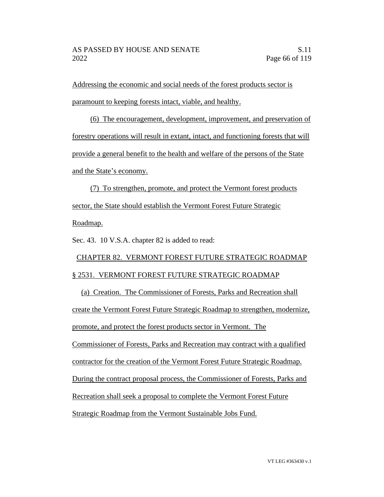Addressing the economic and social needs of the forest products sector is paramount to keeping forests intact, viable, and healthy.

(6) The encouragement, development, improvement, and preservation of forestry operations will result in extant, intact, and functioning forests that will provide a general benefit to the health and welfare of the persons of the State and the State's economy.

(7) To strengthen, promote, and protect the Vermont forest products sector, the State should establish the Vermont Forest Future Strategic Roadmap.

Sec. 43. 10 V.S.A. chapter 82 is added to read:

# CHAPTER 82. VERMONT FOREST FUTURE STRATEGIC ROADMAP § 2531. VERMONT FOREST FUTURE STRATEGIC ROADMAP

(a) Creation. The Commissioner of Forests, Parks and Recreation shall create the Vermont Forest Future Strategic Roadmap to strengthen, modernize, promote, and protect the forest products sector in Vermont. The Commissioner of Forests, Parks and Recreation may contract with a qualified contractor for the creation of the Vermont Forest Future Strategic Roadmap. During the contract proposal process, the Commissioner of Forests, Parks and Recreation shall seek a proposal to complete the Vermont Forest Future Strategic Roadmap from the Vermont Sustainable Jobs Fund.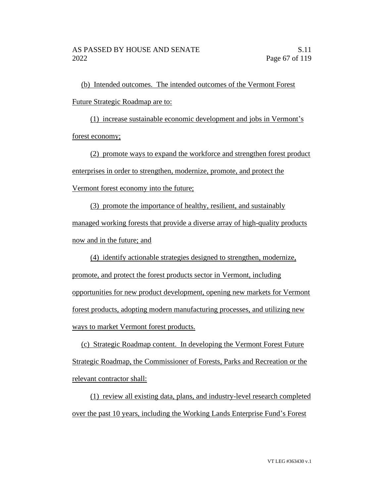(b) Intended outcomes. The intended outcomes of the Vermont Forest Future Strategic Roadmap are to:

(1) increase sustainable economic development and jobs in Vermont's forest economy;

(2) promote ways to expand the workforce and strengthen forest product enterprises in order to strengthen, modernize, promote, and protect the Vermont forest economy into the future;

(3) promote the importance of healthy, resilient, and sustainably managed working forests that provide a diverse array of high-quality products now and in the future; and

(4) identify actionable strategies designed to strengthen, modernize, promote, and protect the forest products sector in Vermont, including opportunities for new product development, opening new markets for Vermont forest products, adopting modern manufacturing processes, and utilizing new ways to market Vermont forest products.

(c) Strategic Roadmap content. In developing the Vermont Forest Future Strategic Roadmap, the Commissioner of Forests, Parks and Recreation or the relevant contractor shall:

(1) review all existing data, plans, and industry-level research completed over the past 10 years, including the Working Lands Enterprise Fund's Forest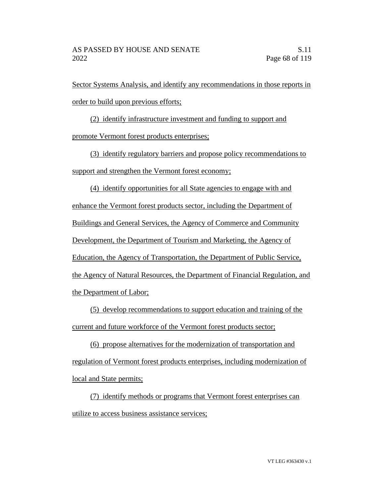Sector Systems Analysis, and identify any recommendations in those reports in order to build upon previous efforts;

(2) identify infrastructure investment and funding to support and promote Vermont forest products enterprises;

(3) identify regulatory barriers and propose policy recommendations to support and strengthen the Vermont forest economy;

(4) identify opportunities for all State agencies to engage with and enhance the Vermont forest products sector, including the Department of Buildings and General Services, the Agency of Commerce and Community Development, the Department of Tourism and Marketing, the Agency of Education, the Agency of Transportation, the Department of Public Service, the Agency of Natural Resources, the Department of Financial Regulation, and the Department of Labor;

(5) develop recommendations to support education and training of the current and future workforce of the Vermont forest products sector;

(6) propose alternatives for the modernization of transportation and regulation of Vermont forest products enterprises, including modernization of local and State permits;

(7) identify methods or programs that Vermont forest enterprises can utilize to access business assistance services;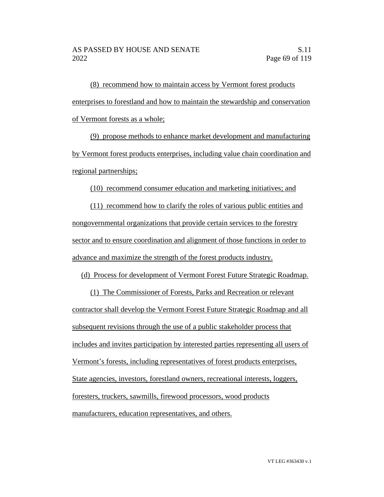(8) recommend how to maintain access by Vermont forest products enterprises to forestland and how to maintain the stewardship and conservation of Vermont forests as a whole;

(9) propose methods to enhance market development and manufacturing by Vermont forest products enterprises, including value chain coordination and regional partnerships;

(10) recommend consumer education and marketing initiatives; and

(11) recommend how to clarify the roles of various public entities and nongovernmental organizations that provide certain services to the forestry sector and to ensure coordination and alignment of those functions in order to advance and maximize the strength of the forest products industry.

(d) Process for development of Vermont Forest Future Strategic Roadmap.

(1) The Commissioner of Forests, Parks and Recreation or relevant contractor shall develop the Vermont Forest Future Strategic Roadmap and all subsequent revisions through the use of a public stakeholder process that includes and invites participation by interested parties representing all users of Vermont's forests, including representatives of forest products enterprises, State agencies, investors, forestland owners, recreational interests, loggers, foresters, truckers, sawmills, firewood processors, wood products manufacturers, education representatives, and others.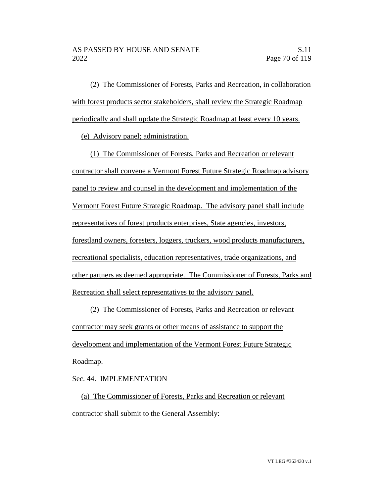(2) The Commissioner of Forests, Parks and Recreation, in collaboration with forest products sector stakeholders, shall review the Strategic Roadmap periodically and shall update the Strategic Roadmap at least every 10 years.

(e) Advisory panel; administration.

(1) The Commissioner of Forests, Parks and Recreation or relevant contractor shall convene a Vermont Forest Future Strategic Roadmap advisory panel to review and counsel in the development and implementation of the Vermont Forest Future Strategic Roadmap. The advisory panel shall include representatives of forest products enterprises, State agencies, investors, forestland owners, foresters, loggers, truckers, wood products manufacturers, recreational specialists, education representatives, trade organizations, and other partners as deemed appropriate. The Commissioner of Forests, Parks and Recreation shall select representatives to the advisory panel.

(2) The Commissioner of Forests, Parks and Recreation or relevant contractor may seek grants or other means of assistance to support the development and implementation of the Vermont Forest Future Strategic Roadmap.

# Sec. 44. IMPLEMENTATION

(a) The Commissioner of Forests, Parks and Recreation or relevant contractor shall submit to the General Assembly: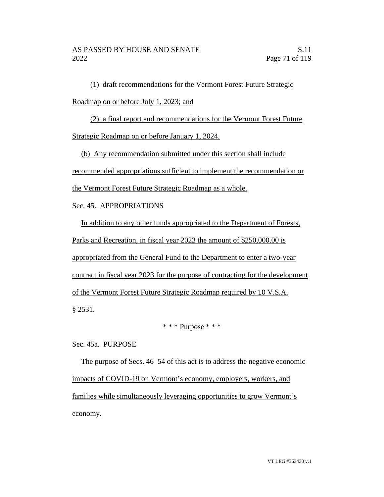(1) draft recommendations for the Vermont Forest Future Strategic Roadmap on or before July 1, 2023; and

(2) a final report and recommendations for the Vermont Forest Future

Strategic Roadmap on or before January 1, 2024.

(b) Any recommendation submitted under this section shall include recommended appropriations sufficient to implement the recommendation or the Vermont Forest Future Strategic Roadmap as a whole.

Sec. 45. APPROPRIATIONS

In addition to any other funds appropriated to the Department of Forests, Parks and Recreation, in fiscal year 2023 the amount of \$250,000.00 is appropriated from the General Fund to the Department to enter a two-year contract in fiscal year 2023 for the purpose of contracting for the development of the Vermont Forest Future Strategic Roadmap required by 10 V.S.A.  $§ 2531.$ 

# $***$  Purpose  $***$

Sec. 45a. PURPOSE

The purpose of Secs. 46–54 of this act is to address the negative economic impacts of COVID-19 on Vermont's economy, employers, workers, and families while simultaneously leveraging opportunities to grow Vermont's economy.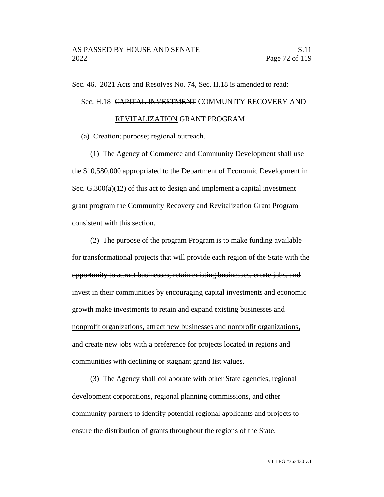Sec. 46. 2021 Acts and Resolves No. 74, Sec. H.18 is amended to read:

## Sec. H.18 CAPITAL INVESTMENT COMMUNITY RECOVERY AND

#### REVITALIZATION GRANT PROGRAM

(a) Creation; purpose; regional outreach.

(1) The Agency of Commerce and Community Development shall use the \$10,580,000 appropriated to the Department of Economic Development in Sec.  $G.300(a)(12)$  of this act to design and implement a capital investment grant program the Community Recovery and Revitalization Grant Program consistent with this section.

(2) The purpose of the  $\frac{1}{2}$  program is to make funding available for transformational projects that will provide each region of the State with the opportunity to attract businesses, retain existing businesses, create jobs, and invest in their communities by encouraging capital investments and economic growth make investments to retain and expand existing businesses and nonprofit organizations, attract new businesses and nonprofit organizations, and create new jobs with a preference for projects located in regions and communities with declining or stagnant grand list values.

(3) The Agency shall collaborate with other State agencies, regional development corporations, regional planning commissions, and other community partners to identify potential regional applicants and projects to ensure the distribution of grants throughout the regions of the State.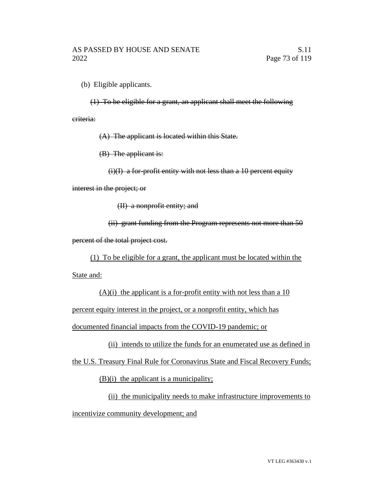(b) Eligible applicants.

(1) To be eligible for a grant, an applicant shall meet the following

criteria:

(A) The applicant is located within this State.

(B) The applicant is:

(i)(I) a for-profit entity with not less than a 10 percent equity

interest in the project; or

(II) a nonprofit entity; and

(ii) grant funding from the Program represents not more than 50 percent of the total project cost.

(1) To be eligible for a grant, the applicant must be located within the

State and:

 $(A)(i)$  the applicant is a for-profit entity with not less than a 10 percent equity interest in the project, or a nonprofit entity, which has documented financial impacts from the COVID-19 pandemic; or

(ii) intends to utilize the funds for an enumerated use as defined in

the U.S. Treasury Final Rule for Coronavirus State and Fiscal Recovery Funds;

(B)(i) the applicant is a municipality;

(ii) the municipality needs to make infrastructure improvements to incentivize community development; and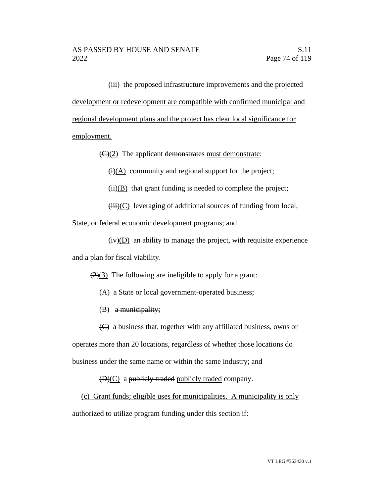(iii) the proposed infrastructure improvements and the projected development or redevelopment are compatible with confirmed municipal and regional development plans and the project has clear local significance for employment.

 $\left(\frac{C}{2}\right)$  The applicant demonstrates must demonstrate:

 $\overline{(i)(A)}$  community and regional support for the project;

 $(ii)(B)$  that grant funding is needed to complete the project;

 $(iii)(C)$  leveraging of additional sources of funding from local,

State, or federal economic development programs; and

 $(iv)(D)$  an ability to manage the project, with requisite experience and a plan for fiscal viability.

 $(2)(3)$  The following are ineligible to apply for a grant:

- (A) a State or local government-operated business;
- $(B)$  a municipality;
- (C) a business that, together with any affiliated business, owns or

operates more than 20 locations, regardless of whether those locations do business under the same name or within the same industry; and

 $(D)(C)$  a publicly-traded publicly traded company.

(c) Grant funds; eligible uses for municipalities. A municipality is only authorized to utilize program funding under this section if: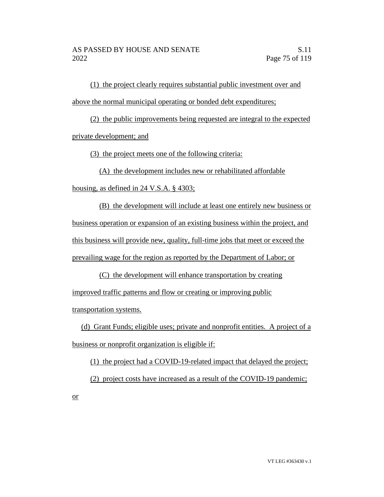(1) the project clearly requires substantial public investment over and above the normal municipal operating or bonded debt expenditures;

(2) the public improvements being requested are integral to the expected private development; and

(3) the project meets one of the following criteria:

(A) the development includes new or rehabilitated affordable

housing, as defined in 24 V.S.A. § 4303;

(B) the development will include at least one entirely new business or business operation or expansion of an existing business within the project, and this business will provide new, quality, full-time jobs that meet or exceed the prevailing wage for the region as reported by the Department of Labor; or

(C) the development will enhance transportation by creating improved traffic patterns and flow or creating or improving public transportation systems.

(d) Grant Funds; eligible uses; private and nonprofit entities. A project of a business or nonprofit organization is eligible if:

(1) the project had a COVID-19-related impact that delayed the project; (2) project costs have increased as a result of the COVID-19 pandemic; or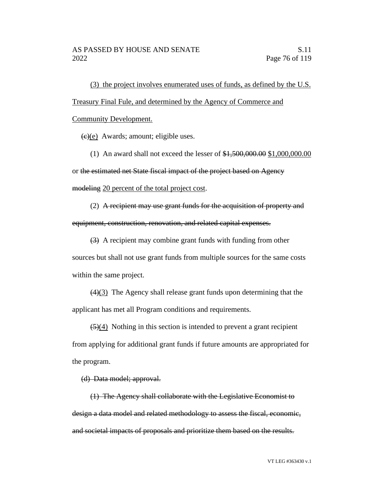(3) the project involves enumerated uses of funds, as defined by the U.S. Treasury Final Fule, and determined by the Agency of Commerce and

Community Development.

 $(e)(e)$  Awards; amount; eligible uses.

(1) An award shall not exceed the lesser of \$1,500,000.00 \$1,000,000.00 or the estimated net State fiscal impact of the project based on Agency modeling 20 percent of the total project cost.

(2) A recipient may use grant funds for the acquisition of property and equipment, construction, renovation, and related capital expenses.

(3) A recipient may combine grant funds with funding from other

sources but shall not use grant funds from multiple sources for the same costs within the same project.

(4)(3) The Agency shall release grant funds upon determining that the applicant has met all Program conditions and requirements.

 $\left(\frac{5}{4}\right)$  Nothing in this section is intended to prevent a grant recipient from applying for additional grant funds if future amounts are appropriated for the program.

(d) Data model; approval.

(1) The Agency shall collaborate with the Legislative Economist to design a data model and related methodology to assess the fiscal, economic, and societal impacts of proposals and prioritize them based on the results.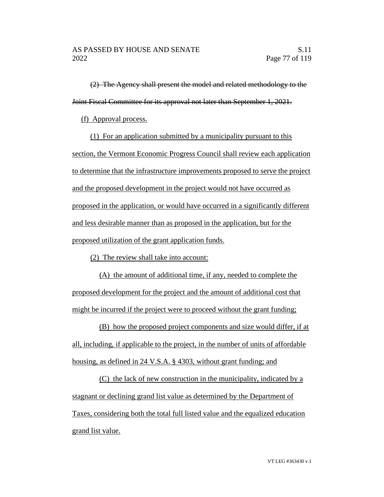(2) The Agency shall present the model and related methodology to the Joint Fiscal Committee for its approval not later than September 1, 2021.

(f) Approval process.

(1) For an application submitted by a municipality pursuant to this section, the Vermont Economic Progress Council shall review each application to determine that the infrastructure improvements proposed to serve the project and the proposed development in the project would not have occurred as proposed in the application, or would have occurred in a significantly different and less desirable manner than as proposed in the application, but for the proposed utilization of the grant application funds.

(2) The review shall take into account:

(A) the amount of additional time, if any, needed to complete the proposed development for the project and the amount of additional cost that might be incurred if the project were to proceed without the grant funding;

(B) how the proposed project components and size would differ, if at all, including, if applicable to the project, in the number of units of affordable housing, as defined in 24 V.S.A. § 4303, without grant funding; and

(C) the lack of new construction in the municipality, indicated by a stagnant or declining grand list value as determined by the Department of Taxes, considering both the total full listed value and the equalized education grand list value.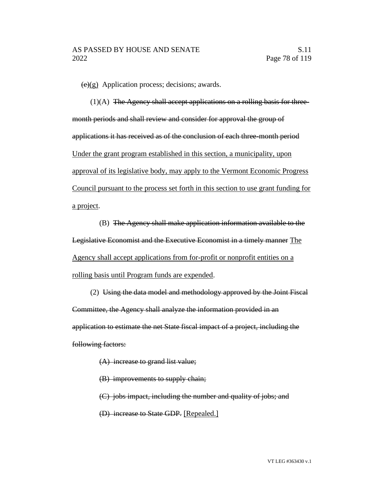$(e)(g)$  Application process; decisions; awards.

(1)(A) The Agency shall accept applications on a rolling basis for threemonth periods and shall review and consider for approval the group of applications it has received as of the conclusion of each three-month period Under the grant program established in this section, a municipality, upon approval of its legislative body, may apply to the Vermont Economic Progress Council pursuant to the process set forth in this section to use grant funding for a project.

(B) The Agency shall make application information available to the Legislative Economist and the Executive Economist in a timely manner The Agency shall accept applications from for-profit or nonprofit entities on a rolling basis until Program funds are expended.

(2) Using the data model and methodology approved by the Joint Fiscal Committee, the Agency shall analyze the information provided in an application to estimate the net State fiscal impact of a project, including the following factors:

- (A) increase to grand list value;
- (B) improvements to supply chain;
- (C) jobs impact, including the number and quality of jobs; and
- (D) increase to State GDP. [Repealed.]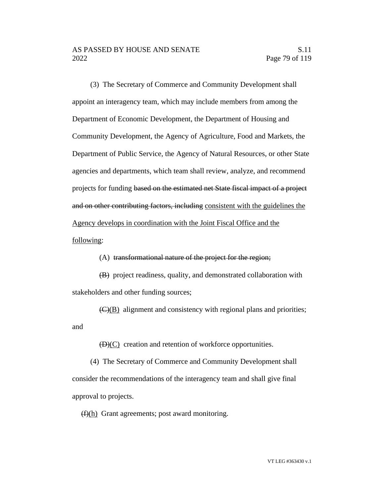(3) The Secretary of Commerce and Community Development shall appoint an interagency team, which may include members from among the Department of Economic Development, the Department of Housing and Community Development, the Agency of Agriculture, Food and Markets, the Department of Public Service, the Agency of Natural Resources, or other State agencies and departments, which team shall review, analyze, and recommend projects for funding based on the estimated net State fiscal impact of a project and on other contributing factors, including consistent with the guidelines the Agency develops in coordination with the Joint Fiscal Office and the following:

#### (A) transformational nature of the project for the region;

(B) project readiness, quality, and demonstrated collaboration with stakeholders and other funding sources;

 $\overline{(C)(B)}$  alignment and consistency with regional plans and priorities; and

 $(D)(C)$  creation and retention of workforce opportunities.

(4) The Secretary of Commerce and Community Development shall consider the recommendations of the interagency team and shall give final approval to projects.

 $(f)(h)$  Grant agreements; post award monitoring.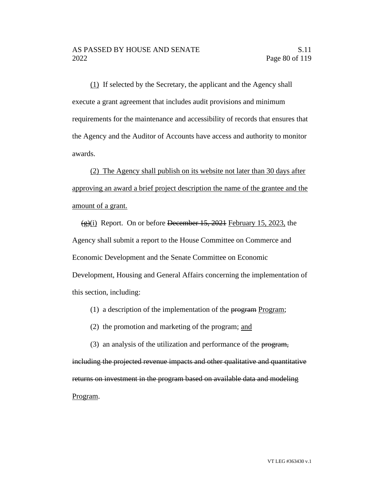(1) If selected by the Secretary, the applicant and the Agency shall execute a grant agreement that includes audit provisions and minimum requirements for the maintenance and accessibility of records that ensures that the Agency and the Auditor of Accounts have access and authority to monitor awards.

(2) The Agency shall publish on its website not later than 30 days after approving an award a brief project description the name of the grantee and the amount of a grant.

 $\frac{1}{2}$ (i) Report. On or before December 15, 2021 February 15, 2023, the Agency shall submit a report to the House Committee on Commerce and Economic Development and the Senate Committee on Economic Development, Housing and General Affairs concerning the implementation of this section, including:

(1) a description of the implementation of the  $\frac{1}{2}$  program;

(2) the promotion and marketing of the program; and

(3) an analysis of the utilization and performance of the program, including the projected revenue impacts and other qualitative and quantitative returns on investment in the program based on available data and modeling Program.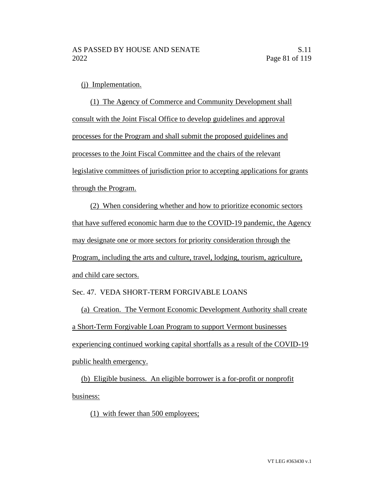(j) Implementation.

(1) The Agency of Commerce and Community Development shall consult with the Joint Fiscal Office to develop guidelines and approval processes for the Program and shall submit the proposed guidelines and processes to the Joint Fiscal Committee and the chairs of the relevant legislative committees of jurisdiction prior to accepting applications for grants through the Program.

(2) When considering whether and how to prioritize economic sectors that have suffered economic harm due to the COVID-19 pandemic, the Agency may designate one or more sectors for priority consideration through the Program, including the arts and culture, travel, lodging, tourism, agriculture, and child care sectors.

## Sec. 47. VEDA SHORT-TERM FORGIVABLE LOANS

(a) Creation. The Vermont Economic Development Authority shall create a Short-Term Forgivable Loan Program to support Vermont businesses experiencing continued working capital shortfalls as a result of the COVID-19 public health emergency.

(b) Eligible business. An eligible borrower is a for-profit or nonprofit business:

(1) with fewer than 500 employees;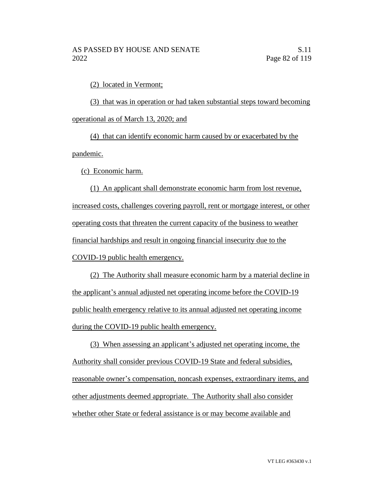(2) located in Vermont;

(3) that was in operation or had taken substantial steps toward becoming operational as of March 13, 2020; and

(4) that can identify economic harm caused by or exacerbated by the pandemic.

(c) Economic harm.

(1) An applicant shall demonstrate economic harm from lost revenue, increased costs, challenges covering payroll, rent or mortgage interest, or other operating costs that threaten the current capacity of the business to weather financial hardships and result in ongoing financial insecurity due to the COVID-19 public health emergency.

(2) The Authority shall measure economic harm by a material decline in the applicant's annual adjusted net operating income before the COVID-19 public health emergency relative to its annual adjusted net operating income during the COVID-19 public health emergency.

(3) When assessing an applicant's adjusted net operating income, the Authority shall consider previous COVID-19 State and federal subsidies, reasonable owner's compensation, noncash expenses, extraordinary items, and other adjustments deemed appropriate. The Authority shall also consider whether other State or federal assistance is or may become available and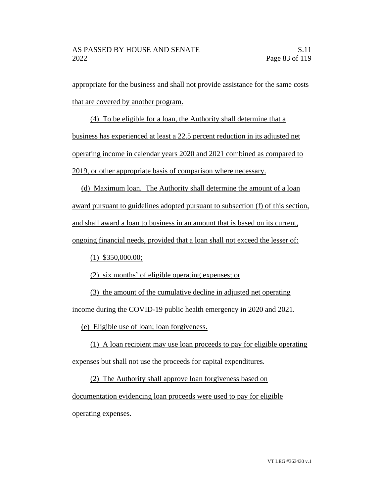appropriate for the business and shall not provide assistance for the same costs that are covered by another program.

(4) To be eligible for a loan, the Authority shall determine that a business has experienced at least a 22.5 percent reduction in its adjusted net operating income in calendar years 2020 and 2021 combined as compared to 2019, or other appropriate basis of comparison where necessary.

(d) Maximum loan. The Authority shall determine the amount of a loan award pursuant to guidelines adopted pursuant to subsection (f) of this section, and shall award a loan to business in an amount that is based on its current, ongoing financial needs, provided that a loan shall not exceed the lesser of:

(1) \$350,000.00;

(2) six months' of eligible operating expenses; or

(3) the amount of the cumulative decline in adjusted net operating income during the COVID-19 public health emergency in 2020 and 2021.

(e) Eligible use of loan; loan forgiveness.

(1) A loan recipient may use loan proceeds to pay for eligible operating expenses but shall not use the proceeds for capital expenditures.

(2) The Authority shall approve loan forgiveness based on documentation evidencing loan proceeds were used to pay for eligible operating expenses.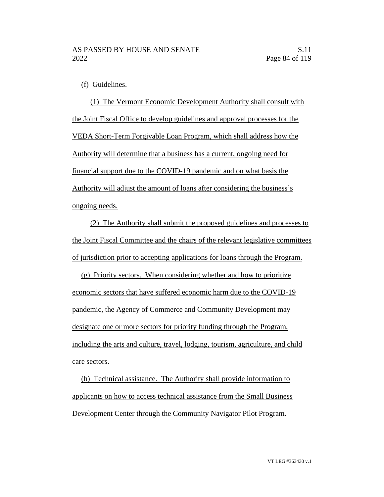(f) Guidelines.

(1) The Vermont Economic Development Authority shall consult with the Joint Fiscal Office to develop guidelines and approval processes for the VEDA Short-Term Forgivable Loan Program, which shall address how the Authority will determine that a business has a current, ongoing need for financial support due to the COVID-19 pandemic and on what basis the Authority will adjust the amount of loans after considering the business's ongoing needs.

(2) The Authority shall submit the proposed guidelines and processes to the Joint Fiscal Committee and the chairs of the relevant legislative committees of jurisdiction prior to accepting applications for loans through the Program.

(g) Priority sectors. When considering whether and how to prioritize economic sectors that have suffered economic harm due to the COVID-19 pandemic, the Agency of Commerce and Community Development may designate one or more sectors for priority funding through the Program, including the arts and culture, travel, lodging, tourism, agriculture, and child care sectors.

(h) Technical assistance. The Authority shall provide information to applicants on how to access technical assistance from the Small Business Development Center through the Community Navigator Pilot Program.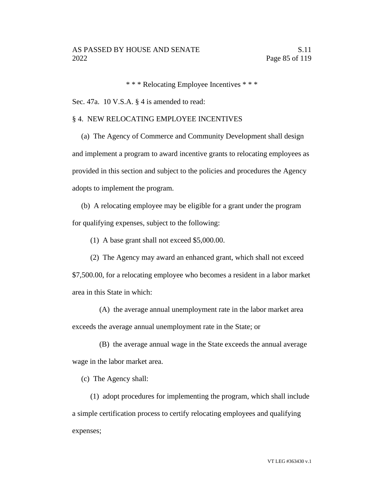\* \* \* Relocating Employee Incentives \* \* \*

Sec. 47a. 10 V.S.A. § 4 is amended to read:

## § 4. NEW RELOCATING EMPLOYEE INCENTIVES

(a) The Agency of Commerce and Community Development shall design and implement a program to award incentive grants to relocating employees as provided in this section and subject to the policies and procedures the Agency adopts to implement the program.

(b) A relocating employee may be eligible for a grant under the program for qualifying expenses, subject to the following:

(1) A base grant shall not exceed \$5,000.00.

(2) The Agency may award an enhanced grant, which shall not exceed \$7,500.00, for a relocating employee who becomes a resident in a labor market area in this State in which:

(A) the average annual unemployment rate in the labor market area exceeds the average annual unemployment rate in the State; or

(B) the average annual wage in the State exceeds the annual average wage in the labor market area.

(c) The Agency shall:

(1) adopt procedures for implementing the program, which shall include a simple certification process to certify relocating employees and qualifying expenses;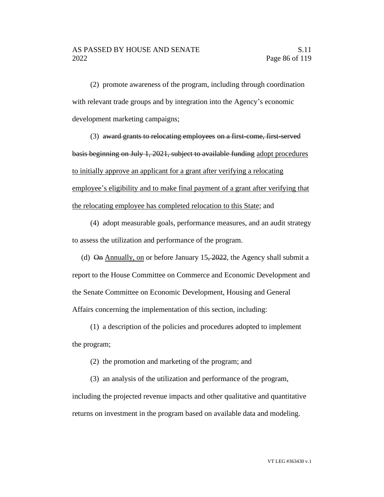(2) promote awareness of the program, including through coordination with relevant trade groups and by integration into the Agency's economic development marketing campaigns;

(3) award grants to relocating employees on a first-come, first-served basis beginning on July 1, 2021, subject to available funding adopt procedures to initially approve an applicant for a grant after verifying a relocating employee's eligibility and to make final payment of a grant after verifying that the relocating employee has completed relocation to this State; and

(4) adopt measurable goals, performance measures, and an audit strategy to assess the utilization and performance of the program.

(d)  $\Theta$  Annually, on or before January 15, 2022, the Agency shall submit a report to the House Committee on Commerce and Economic Development and the Senate Committee on Economic Development, Housing and General Affairs concerning the implementation of this section, including:

(1) a description of the policies and procedures adopted to implement the program;

(2) the promotion and marketing of the program; and

(3) an analysis of the utilization and performance of the program, including the projected revenue impacts and other qualitative and quantitative returns on investment in the program based on available data and modeling.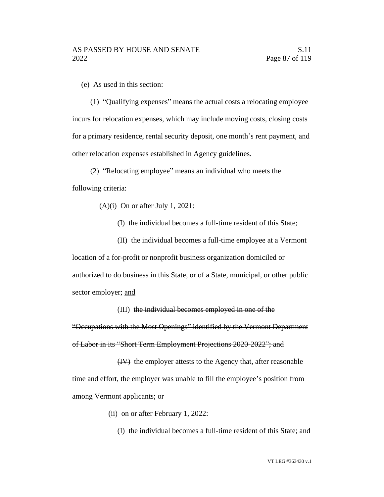(e) As used in this section:

(1) "Qualifying expenses" means the actual costs a relocating employee incurs for relocation expenses, which may include moving costs, closing costs for a primary residence, rental security deposit, one month's rent payment, and other relocation expenses established in Agency guidelines.

(2) "Relocating employee" means an individual who meets the following criteria:

(A)(i) On or after July 1, 2021:

(I) the individual becomes a full-time resident of this State;

(II) the individual becomes a full-time employee at a Vermont location of a for-profit or nonprofit business organization domiciled or authorized to do business in this State, or of a State, municipal, or other public sector employer; and

(III) the individual becomes employed in one of the "Occupations with the Most Openings" identified by the Vermont Department of Labor in its "Short Term Employment Projections 2020-2022"; and

(IV) the employer attests to the Agency that, after reasonable time and effort, the employer was unable to fill the employee's position from among Vermont applicants; or

- (ii) on or after February 1, 2022:
	- (I) the individual becomes a full-time resident of this State; and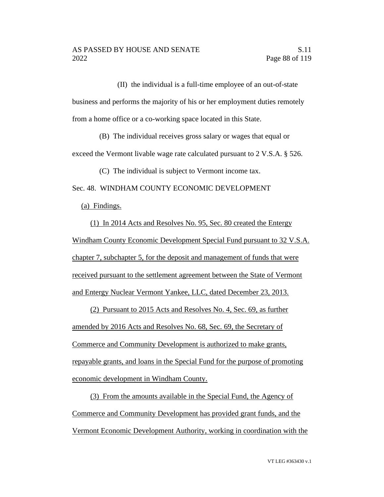(II) the individual is a full-time employee of an out-of-state business and performs the majority of his or her employment duties remotely from a home office or a co-working space located in this State.

(B) The individual receives gross salary or wages that equal or exceed the Vermont livable wage rate calculated pursuant to 2 V.S.A. § 526.

(C) The individual is subject to Vermont income tax.

Sec. 48. WINDHAM COUNTY ECONOMIC DEVELOPMENT

(a) Findings.

(1) In 2014 Acts and Resolves No. 95, Sec. 80 created the Entergy Windham County Economic Development Special Fund pursuant to 32 V.S.A. chapter 7, subchapter 5, for the deposit and management of funds that were received pursuant to the settlement agreement between the State of Vermont and Entergy Nuclear Vermont Yankee, LLC, dated December 23, 2013.

(2) Pursuant to 2015 Acts and Resolves No. 4, Sec. 69, as further amended by 2016 Acts and Resolves No. 68, Sec. 69, the Secretary of Commerce and Community Development is authorized to make grants, repayable grants, and loans in the Special Fund for the purpose of promoting economic development in Windham County.

(3) From the amounts available in the Special Fund, the Agency of Commerce and Community Development has provided grant funds, and the Vermont Economic Development Authority, working in coordination with the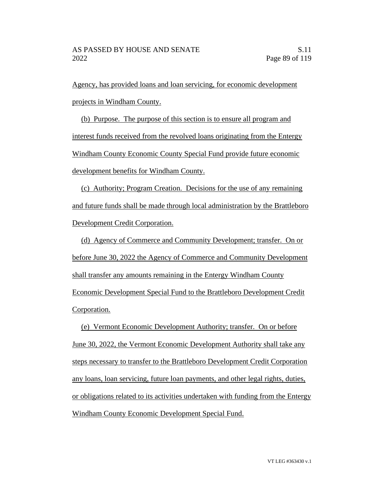Agency, has provided loans and loan servicing, for economic development projects in Windham County.

(b) Purpose. The purpose of this section is to ensure all program and interest funds received from the revolved loans originating from the Entergy Windham County Economic County Special Fund provide future economic development benefits for Windham County.

(c) Authority; Program Creation. Decisions for the use of any remaining and future funds shall be made through local administration by the Brattleboro Development Credit Corporation.

(d) Agency of Commerce and Community Development; transfer. On or before June 30, 2022 the Agency of Commerce and Community Development shall transfer any amounts remaining in the Entergy Windham County Economic Development Special Fund to the Brattleboro Development Credit Corporation.

(e) Vermont Economic Development Authority; transfer. On or before June 30, 2022, the Vermont Economic Development Authority shall take any steps necessary to transfer to the Brattleboro Development Credit Corporation any loans, loan servicing, future loan payments, and other legal rights, duties, or obligations related to its activities undertaken with funding from the Entergy Windham County Economic Development Special Fund.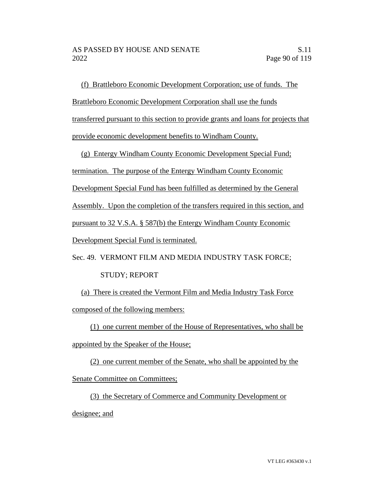(f) Brattleboro Economic Development Corporation; use of funds. The Brattleboro Economic Development Corporation shall use the funds transferred pursuant to this section to provide grants and loans for projects that provide economic development benefits to Windham County.

(g) Entergy Windham County Economic Development Special Fund; termination. The purpose of the Entergy Windham County Economic Development Special Fund has been fulfilled as determined by the General Assembly. Upon the completion of the transfers required in this section, and pursuant to 32 V.S.A. § 587(b) the Entergy Windham County Economic Development Special Fund is terminated.

Sec. 49. VERMONT FILM AND MEDIA INDUSTRY TASK FORCE; STUDY; REPORT

(a) There is created the Vermont Film and Media Industry Task Force composed of the following members:

(1) one current member of the House of Representatives, who shall be

appointed by the Speaker of the House;

(2) one current member of the Senate, who shall be appointed by the Senate Committee on Committees;

(3) the Secretary of Commerce and Community Development or designee; and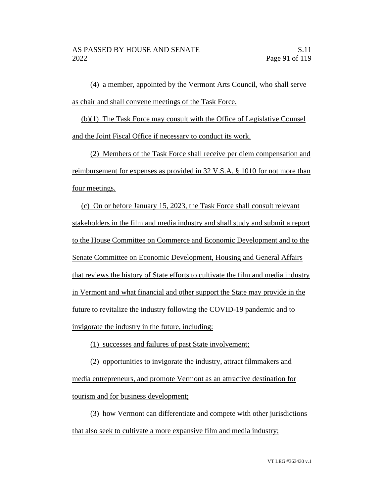(4) a member, appointed by the Vermont Arts Council, who shall serve as chair and shall convene meetings of the Task Force.

(b)(1) The Task Force may consult with the Office of Legislative Counsel and the Joint Fiscal Office if necessary to conduct its work.

(2) Members of the Task Force shall receive per diem compensation and reimbursement for expenses as provided in 32 V.S.A. § 1010 for not more than four meetings.

(c) On or before January 15, 2023, the Task Force shall consult relevant stakeholders in the film and media industry and shall study and submit a report to the House Committee on Commerce and Economic Development and to the Senate Committee on Economic Development, Housing and General Affairs that reviews the history of State efforts to cultivate the film and media industry in Vermont and what financial and other support the State may provide in the future to revitalize the industry following the COVID-19 pandemic and to invigorate the industry in the future, including:

(1) successes and failures of past State involvement;

(2) opportunities to invigorate the industry, attract filmmakers and media entrepreneurs, and promote Vermont as an attractive destination for tourism and for business development;

(3) how Vermont can differentiate and compete with other jurisdictions that also seek to cultivate a more expansive film and media industry;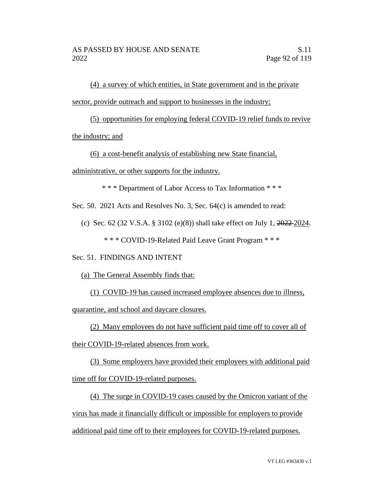(4) a survey of which entities, in State government and in the private sector, provide outreach and support to businesses in the industry;

(5) opportunities for employing federal COVID-19 relief funds to revive

the industry; and

(6) a cost-benefit analysis of establishing new State financial,

administrative, or other supports for the industry.

\* \* \* Department of Labor Access to Tax Information \* \* \*

Sec. 50. 2021 Acts and Resolves No. 3, Sec. 64(c) is amended to read:

(c) Sec. 62 (32 V.S.A. § 3102 (e)(8)) shall take effect on July 1, 2022 2024.

\* \* \* COVID-19-Related Paid Leave Grant Program \* \* \*

## Sec. 51. FINDINGS AND INTENT

(a) The General Assembly finds that:

(1) COVID-19 has caused increased employee absences due to illness,

quarantine, and school and daycare closures.

(2) Many employees do not have sufficient paid time off to cover all of

their COVID-19-related absences from work.

(3) Some employers have provided their employees with additional paid time off for COVID-19-related purposes.

(4) The surge in COVID-19 cases caused by the Omicron variant of the virus has made it financially difficult or impossible for employers to provide additional paid time off to their employees for COVID-19-related purposes.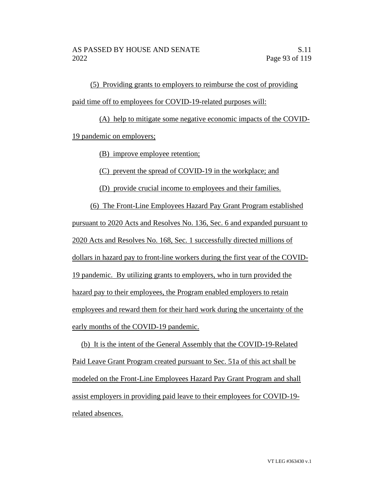(5) Providing grants to employers to reimburse the cost of providing paid time off to employees for COVID-19-related purposes will:

(A) help to mitigate some negative economic impacts of the COVID-19 pandemic on employers;

(B) improve employee retention;

(C) prevent the spread of COVID-19 in the workplace; and

(D) provide crucial income to employees and their families.

(6) The Front-Line Employees Hazard Pay Grant Program established pursuant to 2020 Acts and Resolves No. 136, Sec. 6 and expanded pursuant to 2020 Acts and Resolves No. 168, Sec. 1 successfully directed millions of dollars in hazard pay to front-line workers during the first year of the COVID-19 pandemic. By utilizing grants to employers, who in turn provided the hazard pay to their employees, the Program enabled employers to retain employees and reward them for their hard work during the uncertainty of the early months of the COVID-19 pandemic.

(b) It is the intent of the General Assembly that the COVID-19-Related Paid Leave Grant Program created pursuant to Sec. 51a of this act shall be modeled on the Front-Line Employees Hazard Pay Grant Program and shall assist employers in providing paid leave to their employees for COVID-19 related absences.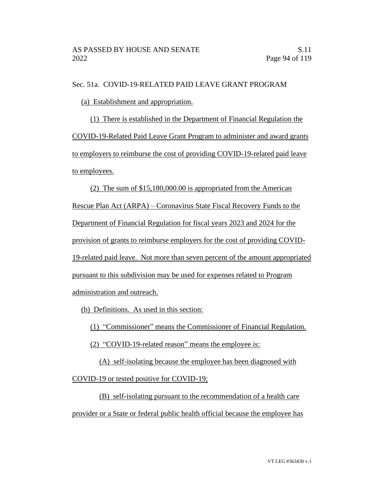Sec. 51a. COVID-19-RELATED PAID LEAVE GRANT PROGRAM

(a) Establishment and appropriation.

(1) There is established in the Department of Financial Regulation the COVID-19-Related Paid Leave Grant Program to administer and award grants to employers to reimburse the cost of providing COVID-19-related paid leave to employees.

(2) The sum of \$15,180,000.00 is appropriated from the American Rescue Plan Act (ARPA) – Coronavirus State Fiscal Recovery Funds to the Department of Financial Regulation for fiscal years 2023 and 2024 for the provision of grants to reimburse employers for the cost of providing COVID-19-related paid leave. Not more than seven percent of the amount appropriated pursuant to this subdivision may be used for expenses related to Program administration and outreach.

(b) Definitions. As used in this section:

(1) "Commissioner" means the Commissioner of Financial Regulation.

(2) "COVID-19-related reason" means the employee is:

(A) self-isolating because the employee has been diagnosed with COVID-19 or tested positive for COVID-19;

(B) self-isolating pursuant to the recommendation of a health care provider or a State or federal public health official because the employee has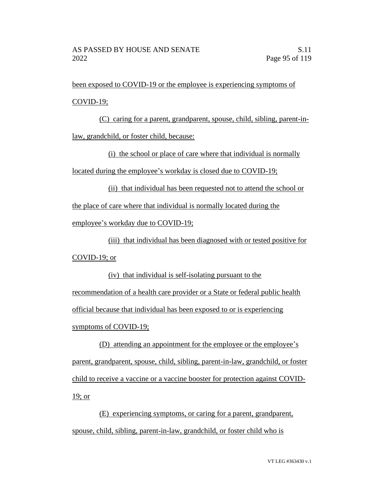been exposed to COVID-19 or the employee is experiencing symptoms of COVID-19;

(C) caring for a parent, grandparent, spouse, child, sibling, parent-inlaw, grandchild, or foster child, because:

(i) the school or place of care where that individual is normally located during the employee's workday is closed due to COVID-19;

(ii) that individual has been requested not to attend the school or the place of care where that individual is normally located during the employee's workday due to COVID-19;

(iii) that individual has been diagnosed with or tested positive for COVID-19; or

(iv) that individual is self-isolating pursuant to the recommendation of a health care provider or a State or federal public health official because that individual has been exposed to or is experiencing symptoms of COVID-19;

(D) attending an appointment for the employee or the employee's parent, grandparent, spouse, child, sibling, parent-in-law, grandchild, or foster child to receive a vaccine or a vaccine booster for protection against COVID-19; or

(E) experiencing symptoms, or caring for a parent, grandparent, spouse, child, sibling, parent-in-law, grandchild, or foster child who is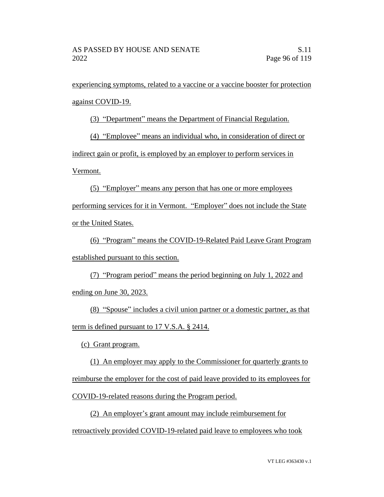experiencing symptoms, related to a vaccine or a vaccine booster for protection against COVID-19.

(3) "Department" means the Department of Financial Regulation.

(4) "Employee" means an individual who, in consideration of direct or

indirect gain or profit, is employed by an employer to perform services in

Vermont.

(5) "Employer" means any person that has one or more employees performing services for it in Vermont. "Employer" does not include the State or the United States.

(6) "Program" means the COVID-19-Related Paid Leave Grant Program established pursuant to this section.

(7) "Program period" means the period beginning on July 1, 2022 and ending on June 30, 2023.

(8) "Spouse" includes a civil union partner or a domestic partner, as that term is defined pursuant to 17 V.S.A. § 2414.

(c) Grant program.

(1) An employer may apply to the Commissioner for quarterly grants to reimburse the employer for the cost of paid leave provided to its employees for COVID-19-related reasons during the Program period.

(2) An employer's grant amount may include reimbursement for retroactively provided COVID-19-related paid leave to employees who took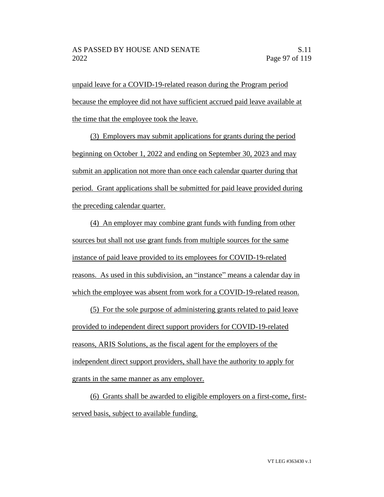unpaid leave for a COVID-19-related reason during the Program period because the employee did not have sufficient accrued paid leave available at the time that the employee took the leave.

(3) Employers may submit applications for grants during the period beginning on October 1, 2022 and ending on September 30, 2023 and may submit an application not more than once each calendar quarter during that period. Grant applications shall be submitted for paid leave provided during the preceding calendar quarter.

(4) An employer may combine grant funds with funding from other sources but shall not use grant funds from multiple sources for the same instance of paid leave provided to its employees for COVID-19-related reasons. As used in this subdivision, an "instance" means a calendar day in which the employee was absent from work for a COVID-19-related reason.

(5) For the sole purpose of administering grants related to paid leave provided to independent direct support providers for COVID-19-related reasons, ARIS Solutions, as the fiscal agent for the employers of the independent direct support providers, shall have the authority to apply for grants in the same manner as any employer.

(6) Grants shall be awarded to eligible employers on a first-come, firstserved basis, subject to available funding.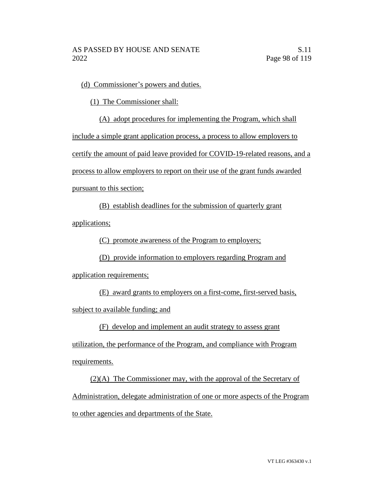(d) Commissioner's powers and duties.

(1) The Commissioner shall:

(A) adopt procedures for implementing the Program, which shall include a simple grant application process, a process to allow employers to certify the amount of paid leave provided for COVID-19-related reasons, and a process to allow employers to report on their use of the grant funds awarded pursuant to this section;

(B) establish deadlines for the submission of quarterly grant applications;

(C) promote awareness of the Program to employers;

(D) provide information to employers regarding Program and

application requirements;

(E) award grants to employers on a first-come, first-served basis, subject to available funding; and

(F) develop and implement an audit strategy to assess grant

utilization, the performance of the Program, and compliance with Program requirements.

(2)(A) The Commissioner may, with the approval of the Secretary of Administration, delegate administration of one or more aspects of the Program to other agencies and departments of the State.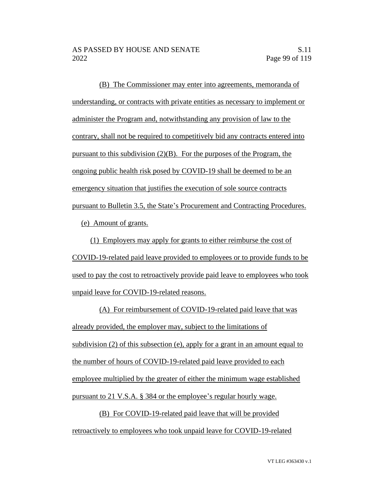(B) The Commissioner may enter into agreements, memoranda of understanding, or contracts with private entities as necessary to implement or administer the Program and, notwithstanding any provision of law to the contrary, shall not be required to competitively bid any contracts entered into pursuant to this subdivision  $(2)(B)$ . For the purposes of the Program, the ongoing public health risk posed by COVID-19 shall be deemed to be an emergency situation that justifies the execution of sole source contracts pursuant to Bulletin 3.5, the State's Procurement and Contracting Procedures.

(e) Amount of grants.

(1) Employers may apply for grants to either reimburse the cost of COVID-19-related paid leave provided to employees or to provide funds to be used to pay the cost to retroactively provide paid leave to employees who took unpaid leave for COVID-19-related reasons.

(A) For reimbursement of COVID-19-related paid leave that was already provided, the employer may, subject to the limitations of subdivision (2) of this subsection (e), apply for a grant in an amount equal to the number of hours of COVID-19-related paid leave provided to each employee multiplied by the greater of either the minimum wage established pursuant to 21 V.S.A. § 384 or the employee's regular hourly wage.

(B) For COVID-19-related paid leave that will be provided retroactively to employees who took unpaid leave for COVID-19-related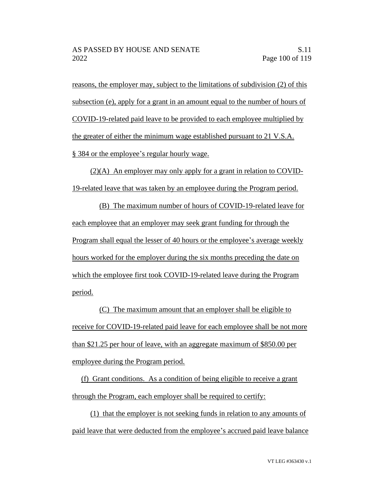reasons, the employer may, subject to the limitations of subdivision (2) of this subsection (e), apply for a grant in an amount equal to the number of hours of COVID-19-related paid leave to be provided to each employee multiplied by the greater of either the minimum wage established pursuant to 21 V.S.A. § 384 or the employee's regular hourly wage.

(2)(A) An employer may only apply for a grant in relation to COVID-19-related leave that was taken by an employee during the Program period.

(B) The maximum number of hours of COVID-19-related leave for each employee that an employer may seek grant funding for through the Program shall equal the lesser of 40 hours or the employee's average weekly hours worked for the employer during the six months preceding the date on which the employee first took COVID-19-related leave during the Program period.

(C) The maximum amount that an employer shall be eligible to receive for COVID-19-related paid leave for each employee shall be not more than \$21.25 per hour of leave, with an aggregate maximum of \$850.00 per employee during the Program period.

(f) Grant conditions. As a condition of being eligible to receive a grant through the Program, each employer shall be required to certify:

(1) that the employer is not seeking funds in relation to any amounts of paid leave that were deducted from the employee's accrued paid leave balance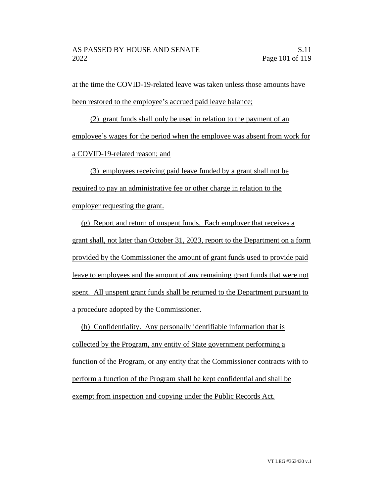at the time the COVID-19-related leave was taken unless those amounts have been restored to the employee's accrued paid leave balance;

(2) grant funds shall only be used in relation to the payment of an employee's wages for the period when the employee was absent from work for a COVID-19-related reason; and

(3) employees receiving paid leave funded by a grant shall not be required to pay an administrative fee or other charge in relation to the employer requesting the grant.

(g) Report and return of unspent funds. Each employer that receives a grant shall, not later than October 31, 2023, report to the Department on a form provided by the Commissioner the amount of grant funds used to provide paid leave to employees and the amount of any remaining grant funds that were not spent. All unspent grant funds shall be returned to the Department pursuant to a procedure adopted by the Commissioner.

(h) Confidentiality. Any personally identifiable information that is collected by the Program, any entity of State government performing a function of the Program, or any entity that the Commissioner contracts with to perform a function of the Program shall be kept confidential and shall be exempt from inspection and copying under the Public Records Act.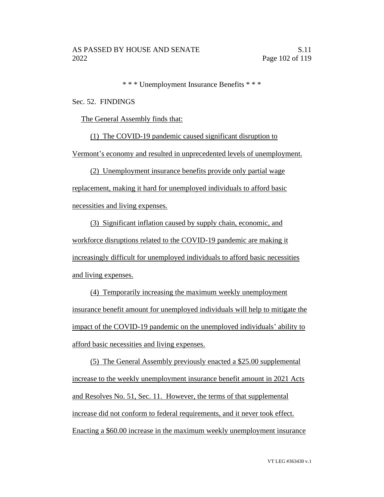\* \* \* Unemployment Insurance Benefits \* \* \*

Sec. 52. FINDINGS

The General Assembly finds that:

(1) The COVID-19 pandemic caused significant disruption to

Vermont's economy and resulted in unprecedented levels of unemployment.

(2) Unemployment insurance benefits provide only partial wage

replacement, making it hard for unemployed individuals to afford basic necessities and living expenses.

(3) Significant inflation caused by supply chain, economic, and workforce disruptions related to the COVID-19 pandemic are making it increasingly difficult for unemployed individuals to afford basic necessities and living expenses.

(4) Temporarily increasing the maximum weekly unemployment insurance benefit amount for unemployed individuals will help to mitigate the impact of the COVID-19 pandemic on the unemployed individuals' ability to afford basic necessities and living expenses.

(5) The General Assembly previously enacted a \$25.00 supplemental increase to the weekly unemployment insurance benefit amount in 2021 Acts and Resolves No. 51, Sec. 11. However, the terms of that supplemental increase did not conform to federal requirements, and it never took effect. Enacting a \$60.00 increase in the maximum weekly unemployment insurance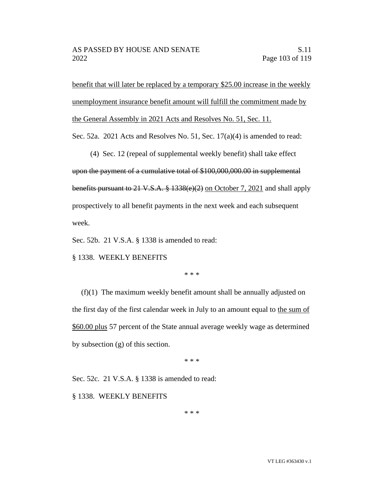benefit that will later be replaced by a temporary \$25.00 increase in the weekly unemployment insurance benefit amount will fulfill the commitment made by the General Assembly in 2021 Acts and Resolves No. 51, Sec. 11.

Sec. 52a. 2021 Acts and Resolves No. 51, Sec. 17(a)(4) is amended to read:

(4) Sec. 12 (repeal of supplemental weekly benefit) shall take effect upon the payment of a cumulative total of \$100,000,000.00 in supplemental benefits pursuant to 21 V.S.A. § 1338(e)(2) on October 7, 2021 and shall apply prospectively to all benefit payments in the next week and each subsequent week.

Sec. 52b. 21 V.S.A. § 1338 is amended to read:

§ 1338. WEEKLY BENEFITS

\* \* \*

(f)(1) The maximum weekly benefit amount shall be annually adjusted on the first day of the first calendar week in July to an amount equal to the sum of \$60.00 plus 57 percent of the State annual average weekly wage as determined by subsection (g) of this section.

\* \* \*

Sec. 52c. 21 V.S.A. § 1338 is amended to read:

§ 1338. WEEKLY BENEFITS

\* \* \*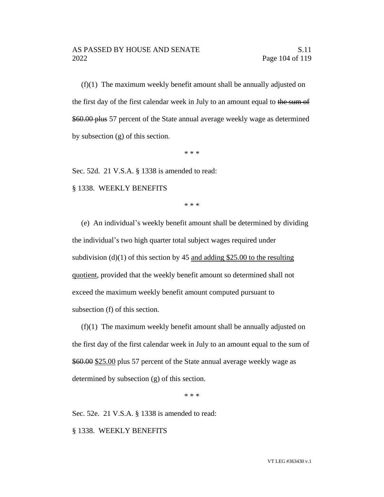(f)(1) The maximum weekly benefit amount shall be annually adjusted on the first day of the first calendar week in July to an amount equal to the sum of \$60.00 plus 57 percent of the State annual average weekly wage as determined by subsection (g) of this section.

\* \* \*

Sec. 52d. 21 V.S.A. § 1338 is amended to read:

§ 1338. WEEKLY BENEFITS

\* \* \*

(e) An individual's weekly benefit amount shall be determined by dividing the individual's two high quarter total subject wages required under subdivision (d)(1) of this section by 45 and adding \$25.00 to the resulting quotient, provided that the weekly benefit amount so determined shall not exceed the maximum weekly benefit amount computed pursuant to subsection (f) of this section.

(f)(1) The maximum weekly benefit amount shall be annually adjusted on the first day of the first calendar week in July to an amount equal to the sum of \$60.00 \$25.00 plus 57 percent of the State annual average weekly wage as determined by subsection (g) of this section.

\* \* \*

Sec. 52e. 21 V.S.A. § 1338 is amended to read:

§ 1338. WEEKLY BENEFITS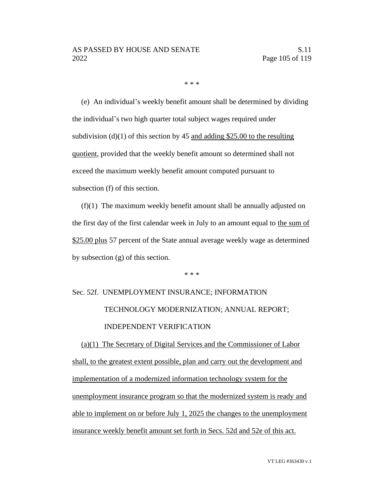\* \* \*

(e) An individual's weekly benefit amount shall be determined by dividing the individual's two high quarter total subject wages required under subdivision (d)(1) of this section by 45 and adding \$25.00 to the resulting quotient, provided that the weekly benefit amount so determined shall not exceed the maximum weekly benefit amount computed pursuant to subsection (f) of this section.

(f)(1) The maximum weekly benefit amount shall be annually adjusted on the first day of the first calendar week in July to an amount equal to the sum of \$25.00 plus 57 percent of the State annual average weekly wage as determined by subsection (g) of this section.

\* \* \*

# Sec. 52f. UNEMPLOYMENT INSURANCE; INFORMATION TECHNOLOGY MODERNIZATION; ANNUAL REPORT; INDEPENDENT VERIFICATION

(a)(1) The Secretary of Digital Services and the Commissioner of Labor shall, to the greatest extent possible, plan and carry out the development and implementation of a modernized information technology system for the unemployment insurance program so that the modernized system is ready and able to implement on or before July 1, 2025 the changes to the unemployment insurance weekly benefit amount set forth in Secs. 52d and 52e of this act.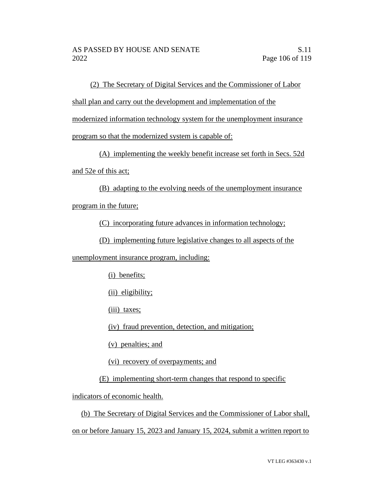(2) The Secretary of Digital Services and the Commissioner of Labor

shall plan and carry out the development and implementation of the

modernized information technology system for the unemployment insurance

program so that the modernized system is capable of:

(A) implementing the weekly benefit increase set forth in Secs. 52d

and 52e of this act;

(B) adapting to the evolving needs of the unemployment insurance program in the future;

(C) incorporating future advances in information technology;

(D) implementing future legislative changes to all aspects of the

unemployment insurance program, including:

(i) benefits;

(ii) eligibility;

(iii) taxes;

(iv) fraud prevention, detection, and mitigation;

(v) penalties; and

(vi) recovery of overpayments; and

(E) implementing short-term changes that respond to specific

indicators of economic health.

(b) The Secretary of Digital Services and the Commissioner of Labor shall, on or before January 15, 2023 and January 15, 2024, submit a written report to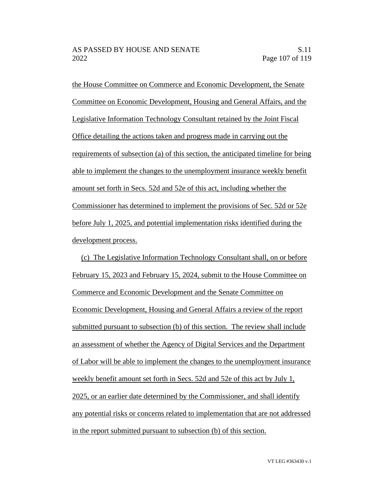the House Committee on Commerce and Economic Development, the Senate Committee on Economic Development, Housing and General Affairs, and the Legislative Information Technology Consultant retained by the Joint Fiscal Office detailing the actions taken and progress made in carrying out the requirements of subsection (a) of this section, the anticipated timeline for being able to implement the changes to the unemployment insurance weekly benefit amount set forth in Secs. 52d and 52e of this act, including whether the Commissioner has determined to implement the provisions of Sec. 52d or 52e before July 1, 2025, and potential implementation risks identified during the development process.

(c) The Legislative Information Technology Consultant shall, on or before February 15, 2023 and February 15, 2024, submit to the House Committee on Commerce and Economic Development and the Senate Committee on Economic Development, Housing and General Affairs a review of the report submitted pursuant to subsection (b) of this section. The review shall include an assessment of whether the Agency of Digital Services and the Department of Labor will be able to implement the changes to the unemployment insurance weekly benefit amount set forth in Secs. 52d and 52e of this act by July 1, 2025, or an earlier date determined by the Commissioner, and shall identify any potential risks or concerns related to implementation that are not addressed in the report submitted pursuant to subsection (b) of this section.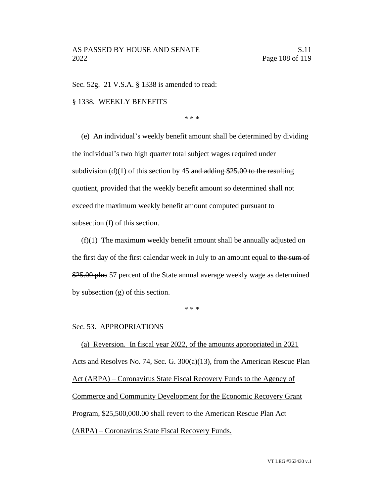Sec. 52g. 21 V.S.A. § 1338 is amended to read:

#### § 1338. WEEKLY BENEFITS

\* \* \*

(e) An individual's weekly benefit amount shall be determined by dividing the individual's two high quarter total subject wages required under subdivision (d)(1) of this section by 45 and adding \$25.00 to the resulting quotient, provided that the weekly benefit amount so determined shall not exceed the maximum weekly benefit amount computed pursuant to subsection (f) of this section.

(f)(1) The maximum weekly benefit amount shall be annually adjusted on the first day of the first calendar week in July to an amount equal to the sum of \$25.00 plus 57 percent of the State annual average weekly wage as determined by subsection (g) of this section.

\* \* \*

#### Sec. 53. APPROPRIATIONS

(a) Reversion. In fiscal year 2022, of the amounts appropriated in 2021 Acts and Resolves No. 74, Sec. G. 300(a)(13), from the American Rescue Plan Act (ARPA) – Coronavirus State Fiscal Recovery Funds to the Agency of Commerce and Community Development for the Economic Recovery Grant Program, \$25,500,000.00 shall revert to the American Rescue Plan Act (ARPA) – Coronavirus State Fiscal Recovery Funds.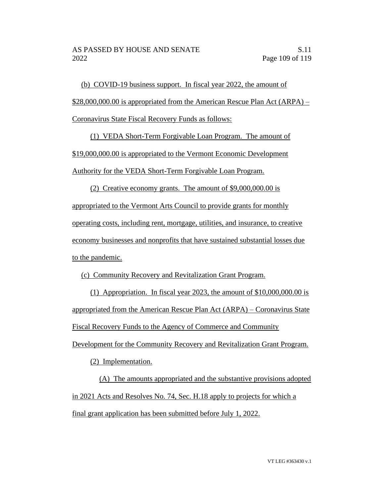(b) COVID-19 business support. In fiscal year 2022, the amount of \$28,000,000.00 is appropriated from the American Rescue Plan Act (ARPA) – Coronavirus State Fiscal Recovery Funds as follows:

(1) VEDA Short-Term Forgivable Loan Program. The amount of \$19,000,000.00 is appropriated to the Vermont Economic Development Authority for the VEDA Short-Term Forgivable Loan Program.

(2) Creative economy grants. The amount of \$9,000,000.00 is appropriated to the Vermont Arts Council to provide grants for monthly operating costs, including rent, mortgage, utilities, and insurance, to creative economy businesses and nonprofits that have sustained substantial losses due to the pandemic.

(c) Community Recovery and Revitalization Grant Program.

(1) Appropriation. In fiscal year 2023, the amount of \$10,000,000.00 is appropriated from the American Rescue Plan Act (ARPA) – Coronavirus State Fiscal Recovery Funds to the Agency of Commerce and Community

Development for the Community Recovery and Revitalization Grant Program.

(2) Implementation.

(A) The amounts appropriated and the substantive provisions adopted in 2021 Acts and Resolves No. 74, Sec. H.18 apply to projects for which a final grant application has been submitted before July 1, 2022.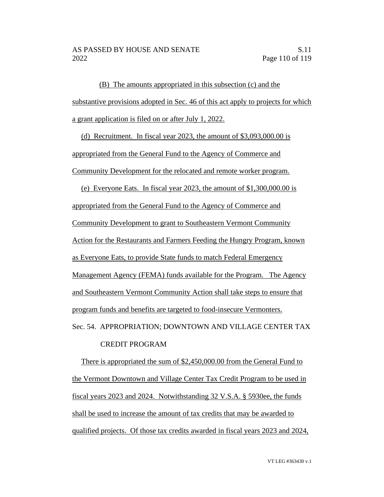(B) The amounts appropriated in this subsection (c) and the substantive provisions adopted in Sec. 46 of this act apply to projects for which a grant application is filed on or after July 1, 2022.

(d) Recruitment. In fiscal year 2023, the amount of \$3,093,000.00 is appropriated from the General Fund to the Agency of Commerce and Community Development for the relocated and remote worker program.

(e) Everyone Eats. In fiscal year 2023, the amount of \$1,300,000.00 is appropriated from the General Fund to the Agency of Commerce and Community Development to grant to Southeastern Vermont Community Action for the Restaurants and Farmers Feeding the Hungry Program, known as Everyone Eats, to provide State funds to match Federal Emergency Management Agency (FEMA) funds available for the Program. The Agency and Southeastern Vermont Community Action shall take steps to ensure that program funds and benefits are targeted to food-insecure Vermonters. Sec. 54. APPROPRIATION; DOWNTOWN AND VILLAGE CENTER TAX

### CREDIT PROGRAM

There is appropriated the sum of \$2,450,000.00 from the General Fund to the Vermont Downtown and Village Center Tax Credit Program to be used in fiscal years 2023 and 2024. Notwithstanding 32 V.S.A. § 5930ee, the funds shall be used to increase the amount of tax credits that may be awarded to qualified projects. Of those tax credits awarded in fiscal years 2023 and 2024,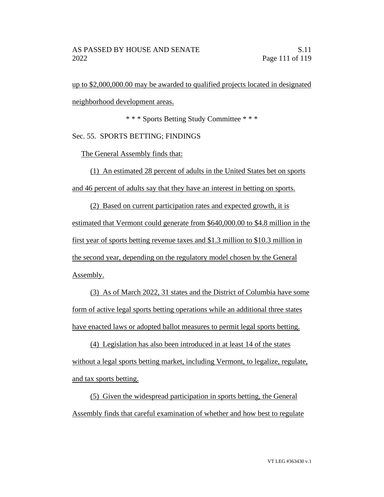up to \$2,000,000.00 may be awarded to qualified projects located in designated neighborhood development areas.

\* \* \* Sports Betting Study Committee \* \* \*

Sec. 55. SPORTS BETTING; FINDINGS

The General Assembly finds that:

(1) An estimated 28 percent of adults in the United States bet on sports and 46 percent of adults say that they have an interest in betting on sports.

(2) Based on current participation rates and expected growth, it is estimated that Vermont could generate from \$640,000.00 to \$4.8 million in the first year of sports betting revenue taxes and \$1.3 million to \$10.3 million in the second year, depending on the regulatory model chosen by the General Assembly.

(3) As of March 2022, 31 states and the District of Columbia have some form of active legal sports betting operations while an additional three states have enacted laws or adopted ballot measures to permit legal sports betting.

(4) Legislation has also been introduced in at least 14 of the states without a legal sports betting market, including Vermont, to legalize, regulate, and tax sports betting.

(5) Given the widespread participation in sports betting, the General Assembly finds that careful examination of whether and how best to regulate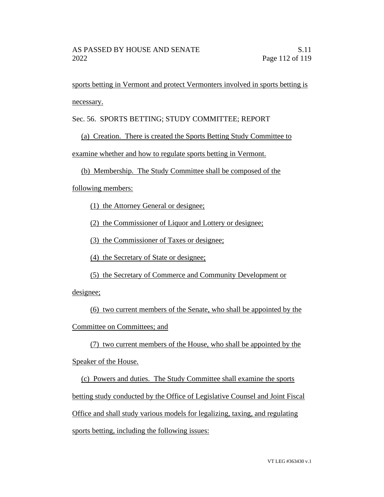sports betting in Vermont and protect Vermonters involved in sports betting is necessary.

## Sec. 56. SPORTS BETTING; STUDY COMMITTEE; REPORT

## (a) Creation. There is created the Sports Betting Study Committee to

examine whether and how to regulate sports betting in Vermont.

## (b) Membership. The Study Committee shall be composed of the

following members:

(1) the Attorney General or designee;

(2) the Commissioner of Liquor and Lottery or designee;

(3) the Commissioner of Taxes or designee;

(4) the Secretary of State or designee;

(5) the Secretary of Commerce and Community Development or

designee;

(6) two current members of the Senate, who shall be appointed by the Committee on Committees; and

(7) two current members of the House, who shall be appointed by the Speaker of the House.

(c) Powers and duties. The Study Committee shall examine the sports betting study conducted by the Office of Legislative Counsel and Joint Fiscal Office and shall study various models for legalizing, taxing, and regulating sports betting, including the following issues: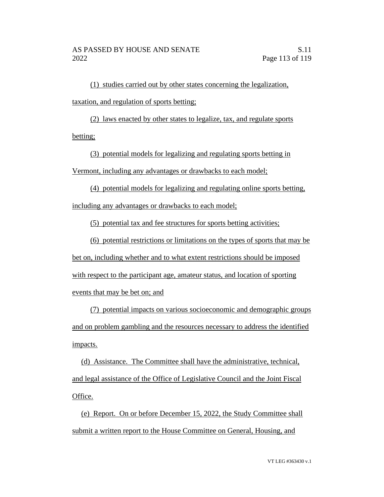(1) studies carried out by other states concerning the legalization, taxation, and regulation of sports betting;

(2) laws enacted by other states to legalize, tax, and regulate sports betting;

(3) potential models for legalizing and regulating sports betting in Vermont, including any advantages or drawbacks to each model;

(4) potential models for legalizing and regulating online sports betting, including any advantages or drawbacks to each model;

(5) potential tax and fee structures for sports betting activities;

(6) potential restrictions or limitations on the types of sports that may be bet on, including whether and to what extent restrictions should be imposed with respect to the participant age, amateur status, and location of sporting

events that may be bet on; and

(7) potential impacts on various socioeconomic and demographic groups and on problem gambling and the resources necessary to address the identified impacts.

(d) Assistance. The Committee shall have the administrative, technical, and legal assistance of the Office of Legislative Council and the Joint Fiscal Office.

(e) Report. On or before December 15, 2022, the Study Committee shall submit a written report to the House Committee on General, Housing, and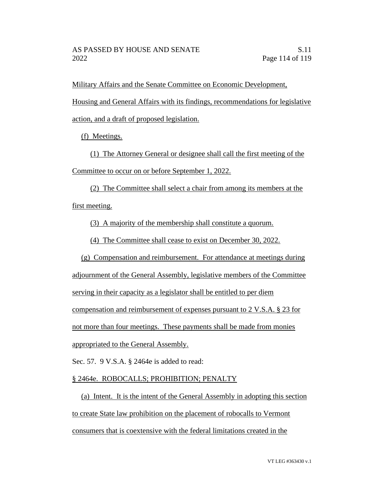Military Affairs and the Senate Committee on Economic Development,

Housing and General Affairs with its findings, recommendations for legislative

action, and a draft of proposed legislation.

(f) Meetings.

(1) The Attorney General or designee shall call the first meeting of the Committee to occur on or before September 1, 2022.

(2) The Committee shall select a chair from among its members at the first meeting.

(3) A majority of the membership shall constitute a quorum.

(4) The Committee shall cease to exist on December 30, 2022.

(g) Compensation and reimbursement. For attendance at meetings during

adjournment of the General Assembly, legislative members of the Committee

serving in their capacity as a legislator shall be entitled to per diem

compensation and reimbursement of expenses pursuant to 2 V.S.A. § 23 for

not more than four meetings. These payments shall be made from monies

appropriated to the General Assembly.

Sec. 57. 9 V.S.A. § 2464e is added to read:

# § 2464e. ROBOCALLS; PROHIBITION; PENALTY

(a) Intent. It is the intent of the General Assembly in adopting this section to create State law prohibition on the placement of robocalls to Vermont consumers that is coextensive with the federal limitations created in the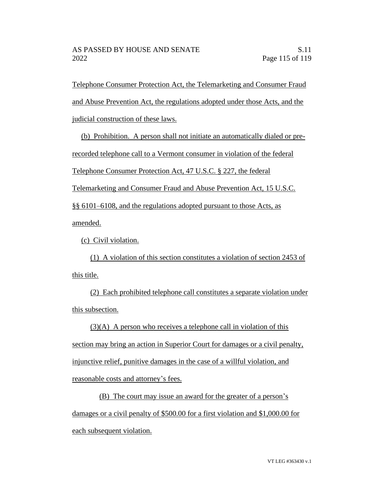Telephone Consumer Protection Act, the Telemarketing and Consumer Fraud and Abuse Prevention Act, the regulations adopted under those Acts, and the judicial construction of these laws.

(b) Prohibition. A person shall not initiate an automatically dialed or prerecorded telephone call to a Vermont consumer in violation of the federal Telephone Consumer Protection Act, 47 U.S.C. § 227, the federal Telemarketing and Consumer Fraud and Abuse Prevention Act, 15 U.S.C. §§ 6101–6108, and the regulations adopted pursuant to those Acts, as amended.

(c) Civil violation.

(1) A violation of this section constitutes a violation of section 2453 of this title.

(2) Each prohibited telephone call constitutes a separate violation under this subsection.

 $(3)(A)$  A person who receives a telephone call in violation of this section may bring an action in Superior Court for damages or a civil penalty, injunctive relief, punitive damages in the case of a willful violation, and reasonable costs and attorney's fees.

(B) The court may issue an award for the greater of a person's damages or a civil penalty of \$500.00 for a first violation and \$1,000.00 for each subsequent violation.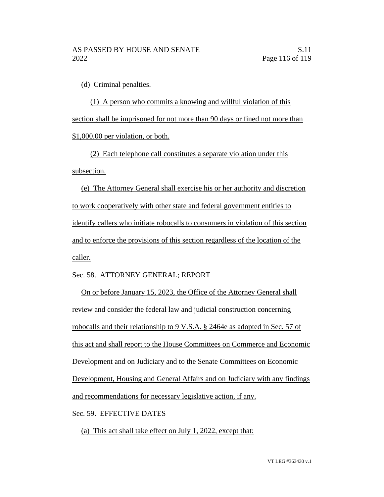(d) Criminal penalties.

(1) A person who commits a knowing and willful violation of this section shall be imprisoned for not more than 90 days or fined not more than \$1,000.00 per violation, or both.

(2) Each telephone call constitutes a separate violation under this subsection.

(e) The Attorney General shall exercise his or her authority and discretion to work cooperatively with other state and federal government entities to identify callers who initiate robocalls to consumers in violation of this section and to enforce the provisions of this section regardless of the location of the caller.

Sec. 58. ATTORNEY GENERAL; REPORT

On or before January 15, 2023, the Office of the Attorney General shall review and consider the federal law and judicial construction concerning robocalls and their relationship to 9 V.S.A. § 2464e as adopted in Sec. 57 of this act and shall report to the House Committees on Commerce and Economic Development and on Judiciary and to the Senate Committees on Economic Development, Housing and General Affairs and on Judiciary with any findings and recommendations for necessary legislative action, if any.

Sec. 59. EFFECTIVE DATES

(a) This act shall take effect on July 1, 2022, except that: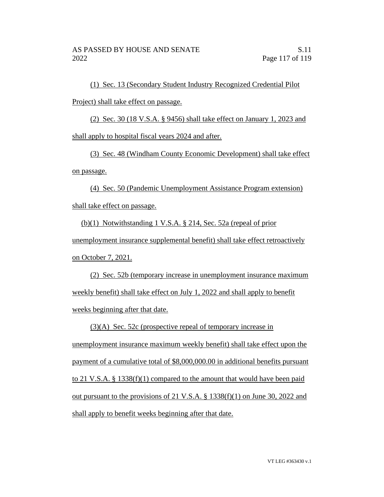(1) Sec. 13 (Secondary Student Industry Recognized Credential Pilot Project) shall take effect on passage.

(2) Sec. 30 (18 V.S.A. § 9456) shall take effect on January 1, 2023 and shall apply to hospital fiscal years 2024 and after.

(3) Sec. 48 (Windham County Economic Development) shall take effect on passage.

(4) Sec. 50 (Pandemic Unemployment Assistance Program extension) shall take effect on passage.

(b)(1) Notwithstanding 1 V.S.A. § 214, Sec. 52a (repeal of prior unemployment insurance supplemental benefit) shall take effect retroactively on October 7, 2021.

(2) Sec. 52b (temporary increase in unemployment insurance maximum weekly benefit) shall take effect on July 1, 2022 and shall apply to benefit weeks beginning after that date.

(3)(A) Sec. 52c (prospective repeal of temporary increase in unemployment insurance maximum weekly benefit) shall take effect upon the payment of a cumulative total of \$8,000,000.00 in additional benefits pursuant to 21 V.S.A. § 1338(f)(1) compared to the amount that would have been paid out pursuant to the provisions of 21 V.S.A. § 1338(f)(1) on June 30, 2022 and shall apply to benefit weeks beginning after that date.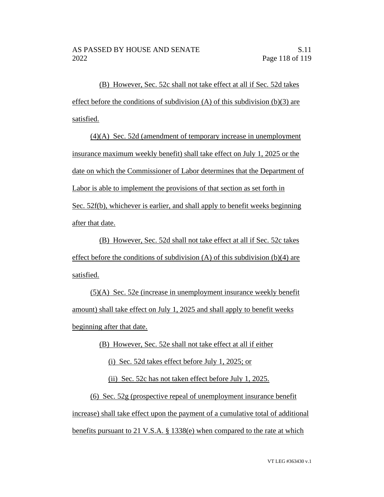(B) However, Sec. 52c shall not take effect at all if Sec. 52d takes effect before the conditions of subdivision  $(A)$  of this subdivision  $(b)(3)$  are satisfied.

(4)(A) Sec. 52d (amendment of temporary increase in unemployment insurance maximum weekly benefit) shall take effect on July 1, 2025 or the date on which the Commissioner of Labor determines that the Department of Labor is able to implement the provisions of that section as set forth in Sec. 52f(b), whichever is earlier, and shall apply to benefit weeks beginning after that date.

(B) However, Sec. 52d shall not take effect at all if Sec. 52c takes effect before the conditions of subdivision  $(A)$  of this subdivision  $(b)(4)$  are satisfied.

(5)(A) Sec. 52e (increase in unemployment insurance weekly benefit amount) shall take effect on July 1, 2025 and shall apply to benefit weeks beginning after that date.

(B) However, Sec. 52e shall not take effect at all if either

(i) Sec. 52d takes effect before July 1, 2025; or

(ii) Sec. 52c has not taken effect before July 1, 2025.

(6) Sec. 52g (prospective repeal of unemployment insurance benefit increase) shall take effect upon the payment of a cumulative total of additional benefits pursuant to 21 V.S.A. § 1338(e) when compared to the rate at which